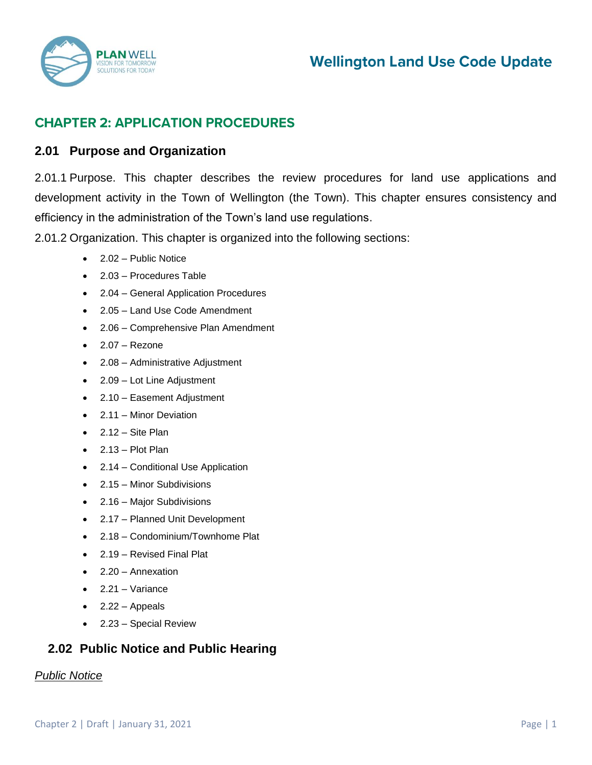

# **Wellington Land Use Code Update**

## **CHAPTER 2: APPLICATION PROCEDURES**

## **2.01 Purpose and Organization**

2.01.1 Purpose. This chapter describes the review procedures for land use applications and development activity in the Town of Wellington (the Town). This chapter ensures consistency and efficiency in the administration of the Town's land use regulations.

2.01.2 Organization. This chapter is organized into the following sections:

- 2.02 Public Notice
- 2.03 Procedures Table
- 2.04 General Application Procedures
- 2.05 Land Use Code Amendment
- 2.06 Comprehensive Plan Amendment
- $\bullet$  2.07 Rezone
- 2.08 Administrative Adjustment
- 2.09 Lot Line Adjustment
- 2.10 Easement Adjustment
- 2.11 Minor Deviation
- $\bullet$  2.12 Site Plan
- 2.13 Plot Plan
- 2.14 Conditional Use Application
- 2.15 Minor Subdivisions
- 2.16 Major Subdivisions
- 2.17 Planned Unit Development
- 2.18 Condominium/Townhome Plat
- 2.19 Revised Final Plat
- 2.20 Annexation
- $\bullet$  2.21 Variance
- $2.22 -$  Appeals
- 2.23 Special Review

## **2.02 Public Notice and Public Hearing**

#### *Public Notice*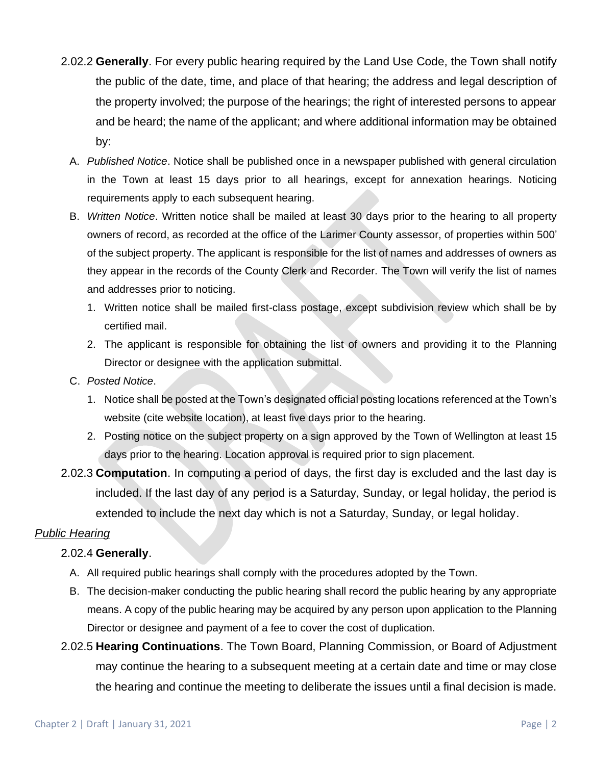- 2.02.2 **Generally**. For every public hearing required by the Land Use Code, the Town shall notify the public of the date, time, and place of that hearing; the address and legal description of the property involved; the purpose of the hearings; the right of interested persons to appear and be heard; the name of the applicant; and where additional information may be obtained by:
	- A. *Published Notice*. Notice shall be published once in a newspaper published with general circulation in the Town at least 15 days prior to all hearings, except for annexation hearings. Noticing requirements apply to each subsequent hearing.
	- B. *Written Notice*. Written notice shall be mailed at least 30 days prior to the hearing to all property owners of record, as recorded at the office of the Larimer County assessor, of properties within 500' of the subject property. The applicant is responsible for the list of names and addresses of owners as they appear in the records of the County Clerk and Recorder. The Town will verify the list of names and addresses prior to noticing.
		- 1. Written notice shall be mailed first-class postage, except subdivision review which shall be by certified mail.
		- 2. The applicant is responsible for obtaining the list of owners and providing it to the Planning Director or designee with the application submittal.
	- C. *Posted Notice*.
		- 1. Notice shall be posted at the Town's designated official posting locations referenced at the Town's website (cite website location), at least five days prior to the hearing.
		- 2. Posting notice on the subject property on a sign approved by the Town of Wellington at least 15 days prior to the hearing. Location approval is required prior to sign placement.
- 2.02.3 **Computation**. In computing a period of days, the first day is excluded and the last day is included. If the last day of any period is a Saturday, Sunday, or legal holiday, the period is extended to include the next day which is not a Saturday, Sunday, or legal holiday.

## *Public Hearing*

## 2.02.4 **Generally**.

- A. All required public hearings shall comply with the procedures adopted by the Town.
- B. The decision-maker conducting the public hearing shall record the public hearing by any appropriate means. A copy of the public hearing may be acquired by any person upon application to the Planning Director or designee and payment of a fee to cover the cost of duplication.
- 2.02.5 **Hearing Continuations**. The Town Board, Planning Commission, or Board of Adjustment may continue the hearing to a subsequent meeting at a certain date and time or may close the hearing and continue the meeting to deliberate the issues until a final decision is made.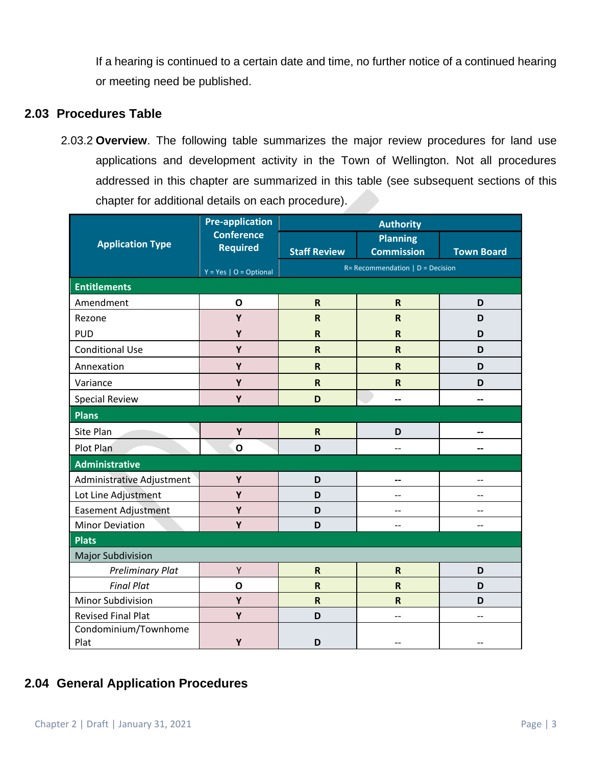If a hearing is continued to a certain date and time, no further notice of a continued hearing or meeting need be published.

## **2.03 Procedures Table**

2.03.2 **Overview**. The following table summarizes the major review procedures for land use applications and development activity in the Town of Wellington. Not all procedures addressed in this chapter are summarized in this table (see subsequent sections of this chapter for additional details on each procedure).

| <b>Application Type</b>      | <b>Pre-application</b><br><b>Conference</b><br><b>Required</b> | <b>Authority</b>                    |                                      |                   |
|------------------------------|----------------------------------------------------------------|-------------------------------------|--------------------------------------|-------------------|
|                              |                                                                | <b>Staff Review</b>                 | <b>Planning</b><br><b>Commission</b> | <b>Town Board</b> |
|                              |                                                                | $R = Recommendation   D = Decision$ |                                      |                   |
| <b>Entitlements</b>          | $Y = Yes \mid O = Optional$                                    |                                     |                                      |                   |
| Amendment                    | $\mathbf{o}$                                                   | $\mathsf{R}$                        | $\mathsf R$                          | D                 |
|                              |                                                                |                                     |                                      |                   |
| Rezone                       | Y                                                              | $\mathsf{R}$                        | ${\sf R}$                            | D                 |
| <b>PUD</b>                   | Y                                                              | $\mathsf{R}$                        | $\mathsf R$                          | D                 |
| <b>Conditional Use</b>       | Y                                                              | $\mathsf{R}$                        | $\mathsf R$                          | D                 |
| Annexation                   | Y                                                              | $\mathsf{R}$                        | $\mathsf R$                          | D                 |
| Variance                     | Y                                                              | $\mathbf R$                         | $\mathsf R$                          | D                 |
| <b>Special Review</b>        | Y                                                              | D                                   | --                                   |                   |
| <b>Plans</b>                 |                                                                |                                     |                                      |                   |
| Site Plan                    | Υ                                                              | $\mathsf{R}$                        | D                                    |                   |
| Plot Plan                    | $\mathbf{o}$                                                   | D                                   | $-$                                  | --                |
| <b>Administrative</b>        |                                                                |                                     |                                      |                   |
| Administrative Adjustment    | Y                                                              | D                                   | $-$                                  |                   |
| Lot Line Adjustment          | Y                                                              | D                                   | $-$                                  | $-$               |
| <b>Easement Adjustment</b>   | Y                                                              | D                                   | --                                   |                   |
| <b>Minor Deviation</b>       | Y                                                              | D                                   | --                                   |                   |
| <b>Plats</b>                 |                                                                |                                     |                                      |                   |
| <b>Major Subdivision</b>     |                                                                |                                     |                                      |                   |
| <b>Preliminary Plat</b>      | Υ                                                              | $\mathsf{R}$                        | ${\sf R}$                            | D                 |
| <b>Final Plat</b>            | $\mathbf{o}$                                                   | $\mathsf{R}$                        | $\mathsf R$                          | D                 |
| Minor Subdivision            | Y                                                              | $\mathsf{R}$                        | $\mathsf R$                          | D                 |
| <b>Revised Final Plat</b>    | Y                                                              | D                                   | $-$                                  |                   |
| Condominium/Townhome<br>Plat | Y                                                              | D                                   |                                      |                   |

## **2.04 General Application Procedures**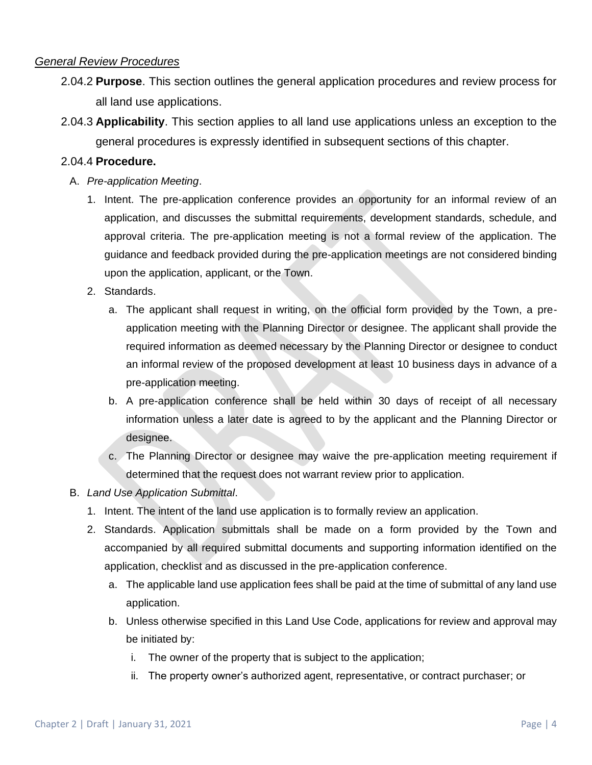### *General Review Procedures*

- 2.04.2 **Purpose**. This section outlines the general application procedures and review process for all land use applications.
- 2.04.3 **Applicability**. This section applies to all land use applications unless an exception to the general procedures is expressly identified in subsequent sections of this chapter.

#### 2.04.4 **Procedure.**

- A. *Pre-application Meeting*.
	- 1. Intent. The pre-application conference provides an opportunity for an informal review of an application, and discusses the submittal requirements, development standards, schedule, and approval criteria. The pre-application meeting is not a formal review of the application. The guidance and feedback provided during the pre-application meetings are not considered binding upon the application, applicant, or the Town.
	- 2. Standards.
		- a. The applicant shall request in writing, on the official form provided by the Town, a preapplication meeting with the Planning Director or designee. The applicant shall provide the required information as deemed necessary by the Planning Director or designee to conduct an informal review of the proposed development at least 10 business days in advance of a pre-application meeting.
		- b. A pre-application conference shall be held within 30 days of receipt of all necessary information unless a later date is agreed to by the applicant and the Planning Director or designee.
		- c. The Planning Director or designee may waive the pre-application meeting requirement if determined that the request does not warrant review prior to application.
- B. *Land Use Application Submittal*.
	- 1. Intent. The intent of the land use application is to formally review an application.
	- 2. Standards. Application submittals shall be made on a form provided by the Town and accompanied by all required submittal documents and supporting information identified on the application, checklist and as discussed in the pre-application conference.
		- a. The applicable land use application fees shall be paid at the time of submittal of any land use application.
		- b. Unless otherwise specified in this Land Use Code, applications for review and approval may be initiated by:
			- i. The owner of the property that is subject to the application;
			- ii. The property owner's authorized agent, representative, or contract purchaser; or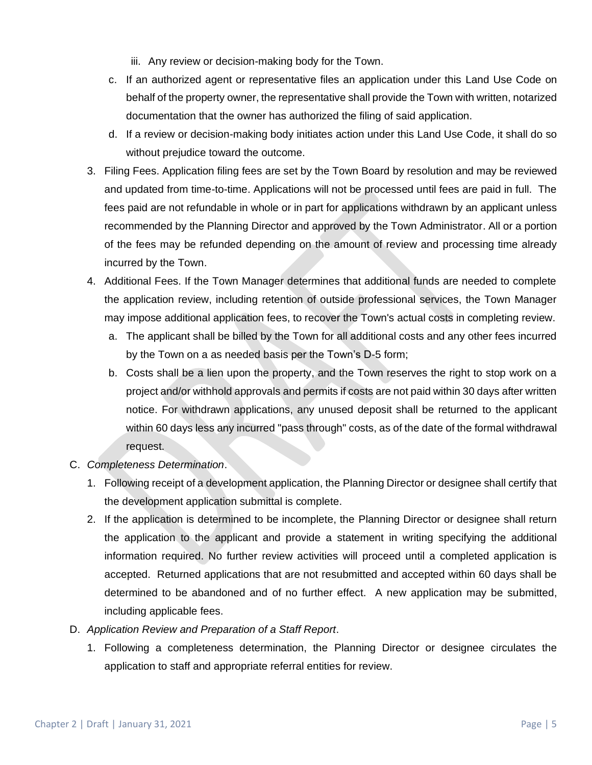- iii. Any review or decision-making body for the Town.
- c. If an authorized agent or representative files an application under this Land Use Code on behalf of the property owner, the representative shall provide the Town with written, notarized documentation that the owner has authorized the filing of said application.
- d. If a review or decision-making body initiates action under this Land Use Code, it shall do so without prejudice toward the outcome.
- 3. Filing Fees. Application filing fees are set by the Town Board by resolution and may be reviewed and updated from time-to-time. Applications will not be processed until fees are paid in full. The fees paid are not refundable in whole or in part for applications withdrawn by an applicant unless recommended by the Planning Director and approved by the Town Administrator. All or a portion of the fees may be refunded depending on the amount of review and processing time already incurred by the Town.
- 4. Additional Fees. If the Town Manager determines that additional funds are needed to complete the application review, including retention of outside professional services, the Town Manager may impose additional application fees, to recover the Town's actual costs in completing review.
	- a. The applicant shall be billed by the Town for all additional costs and any other fees incurred by the Town on a as needed basis per the Town's D-5 form;
	- b. Costs shall be a lien upon the property, and the Town reserves the right to stop work on a project and/or withhold approvals and permits if costs are not paid within 30 days after written notice. For withdrawn applications, any unused deposit shall be returned to the applicant within 60 days less any incurred "pass through" costs, as of the date of the formal withdrawal request.
- C. *Completeness Determination*.
	- 1. Following receipt of a development application, the Planning Director or designee shall certify that the development application submittal is complete.
	- 2. If the application is determined to be incomplete, the Planning Director or designee shall return the application to the applicant and provide a statement in writing specifying the additional information required. No further review activities will proceed until a completed application is accepted. Returned applications that are not resubmitted and accepted within 60 days shall be determined to be abandoned and of no further effect. A new application may be submitted, including applicable fees.
- D. *Application Review and Preparation of a Staff Report*.
	- 1. Following a completeness determination, the Planning Director or designee circulates the application to staff and appropriate referral entities for review.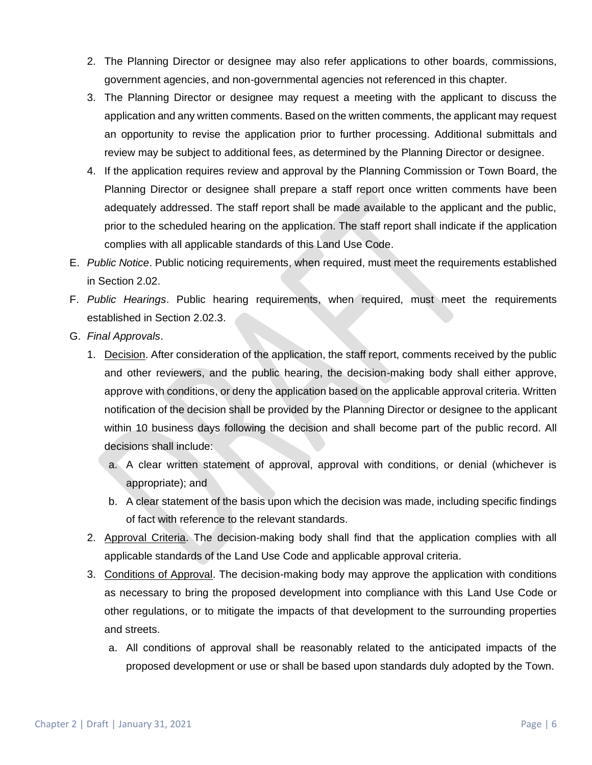- 2. The Planning Director or designee may also refer applications to other boards, commissions, government agencies, and non-governmental agencies not referenced in this chapter.
- 3. The Planning Director or designee may request a meeting with the applicant to discuss the application and any written comments. Based on the written comments, the applicant may request an opportunity to revise the application prior to further processing. Additional submittals and review may be subject to additional fees, as determined by the Planning Director or designee.
- 4. If the application requires review and approval by the Planning Commission or Town Board, the Planning Director or designee shall prepare a staff report once written comments have been adequately addressed. The staff report shall be made available to the applicant and the public, prior to the scheduled hearing on the application. The staff report shall indicate if the application complies with all applicable standards of this Land Use Code.
- E. *Public Notice*. Public noticing requirements, when required, must meet the requirements established in Section 2.02.
- F. *Public Hearings*. Public hearing requirements, when required, must meet the requirements established in Section 2.02.3.
- G. *Final Approvals*.
	- 1. Decision. After consideration of the application, the staff report, comments received by the public and other reviewers, and the public hearing, the decision-making body shall either approve, approve with conditions, or deny the application based on the applicable approval criteria. Written notification of the decision shall be provided by the Planning Director or designee to the applicant within 10 business days following the decision and shall become part of the public record. All decisions shall include:
		- a. A clear written statement of approval, approval with conditions, or denial (whichever is appropriate); and
		- b. A clear statement of the basis upon which the decision was made, including specific findings of fact with reference to the relevant standards.
	- 2. Approval Criteria. The decision-making body shall find that the application complies with all applicable standards of the Land Use Code and applicable approval criteria.
	- 3. Conditions of Approval. The decision-making body may approve the application with conditions as necessary to bring the proposed development into compliance with this Land Use Code or other regulations, or to mitigate the impacts of that development to the surrounding properties and streets.
		- a. All conditions of approval shall be reasonably related to the anticipated impacts of the proposed development or use or shall be based upon standards duly adopted by the Town.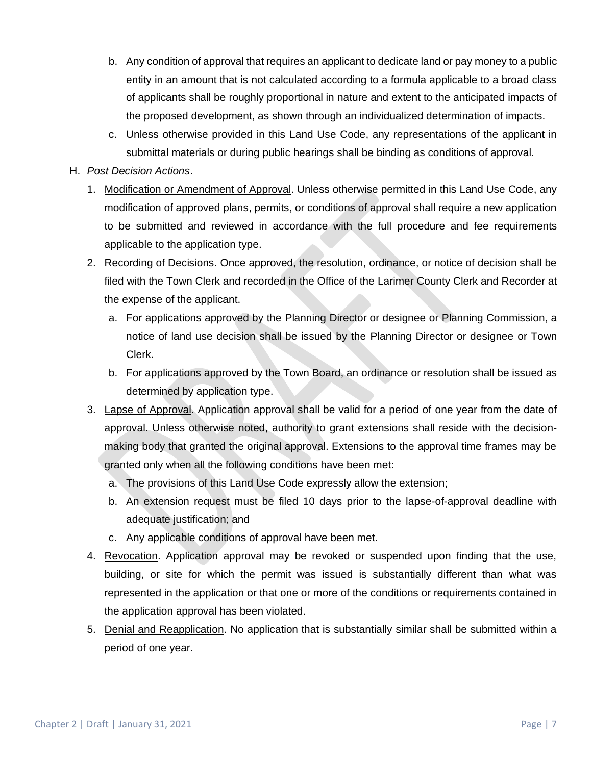- b. Any condition of approval that requires an applicant to dedicate land or pay money to a public entity in an amount that is not calculated according to a formula applicable to a broad class of applicants shall be roughly proportional in nature and extent to the anticipated impacts of the proposed development, as shown through an individualized determination of impacts.
- c. Unless otherwise provided in this Land Use Code, any representations of the applicant in submittal materials or during public hearings shall be binding as conditions of approval.
- H. *Post Decision Actions*.
	- 1. Modification or Amendment of Approval. Unless otherwise permitted in this Land Use Code, any modification of approved plans, permits, or conditions of approval shall require a new application to be submitted and reviewed in accordance with the full procedure and fee requirements applicable to the application type.
	- 2. Recording of Decisions. Once approved, the resolution, ordinance, or notice of decision shall be filed with the Town Clerk and recorded in the Office of the Larimer County Clerk and Recorder at the expense of the applicant.
		- a. For applications approved by the Planning Director or designee or Planning Commission, a notice of land use decision shall be issued by the Planning Director or designee or Town Clerk.
		- b. For applications approved by the Town Board, an ordinance or resolution shall be issued as determined by application type.
	- 3. Lapse of Approval. Application approval shall be valid for a period of one year from the date of approval. Unless otherwise noted, authority to grant extensions shall reside with the decisionmaking body that granted the original approval. Extensions to the approval time frames may be granted only when all the following conditions have been met:
		- a. The provisions of this Land Use Code expressly allow the extension;
		- b. An extension request must be filed 10 days prior to the lapse-of-approval deadline with adequate justification; and
		- c. Any applicable conditions of approval have been met.
	- 4. Revocation. Application approval may be revoked or suspended upon finding that the use, building, or site for which the permit was issued is substantially different than what was represented in the application or that one or more of the conditions or requirements contained in the application approval has been violated.
	- 5. Denial and Reapplication. No application that is substantially similar shall be submitted within a period of one year.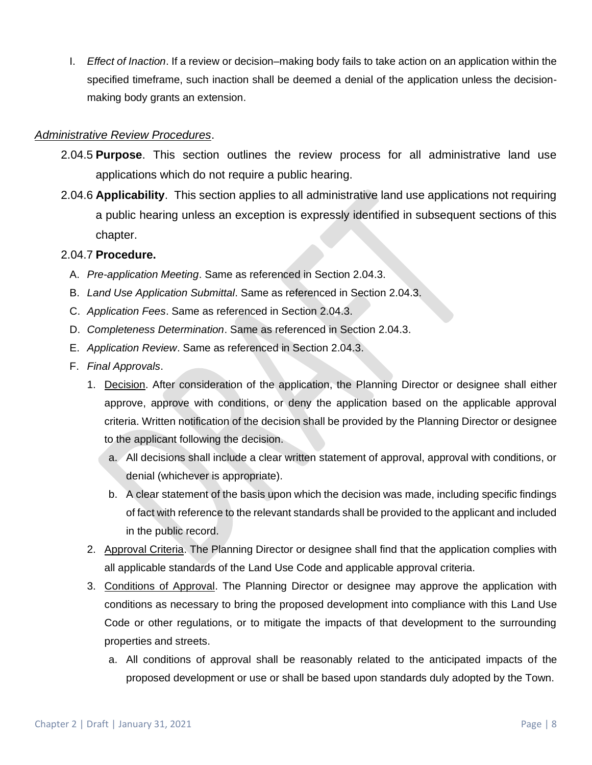I. *Effect of Inaction*. If a review or decision–making body fails to take action on an application within the specified timeframe, such inaction shall be deemed a denial of the application unless the decisionmaking body grants an extension.

### *Administrative Review Procedures*.

- 2.04.5 **Purpose**. This section outlines the review process for all administrative land use applications which do not require a public hearing.
- 2.04.6 **Applicability**. This section applies to all administrative land use applications not requiring a public hearing unless an exception is expressly identified in subsequent sections of this chapter.

#### 2.04.7 **Procedure.**

- A. *Pre-application Meeting*. Same as referenced in Section 2.04.3.
- B. *Land Use Application Submittal*. Same as referenced in Section 2.04.3.
- C. *Application Fees*. Same as referenced in Section 2.04.3.
- D. *Completeness Determination*. Same as referenced in Section 2.04.3.
- E. *Application Review*. Same as referenced in Section 2.04.3.
- F. *Final Approvals*.
	- 1. Decision. After consideration of the application, the Planning Director or designee shall either approve, approve with conditions, or deny the application based on the applicable approval criteria. Written notification of the decision shall be provided by the Planning Director or designee to the applicant following the decision.
		- a. All decisions shall include a clear written statement of approval, approval with conditions, or denial (whichever is appropriate).
		- b. A clear statement of the basis upon which the decision was made, including specific findings of fact with reference to the relevant standards shall be provided to the applicant and included in the public record.
	- 2. Approval Criteria. The Planning Director or designee shall find that the application complies with all applicable standards of the Land Use Code and applicable approval criteria.
	- 3. Conditions of Approval. The Planning Director or designee may approve the application with conditions as necessary to bring the proposed development into compliance with this Land Use Code or other regulations, or to mitigate the impacts of that development to the surrounding properties and streets.
		- a. All conditions of approval shall be reasonably related to the anticipated impacts of the proposed development or use or shall be based upon standards duly adopted by the Town.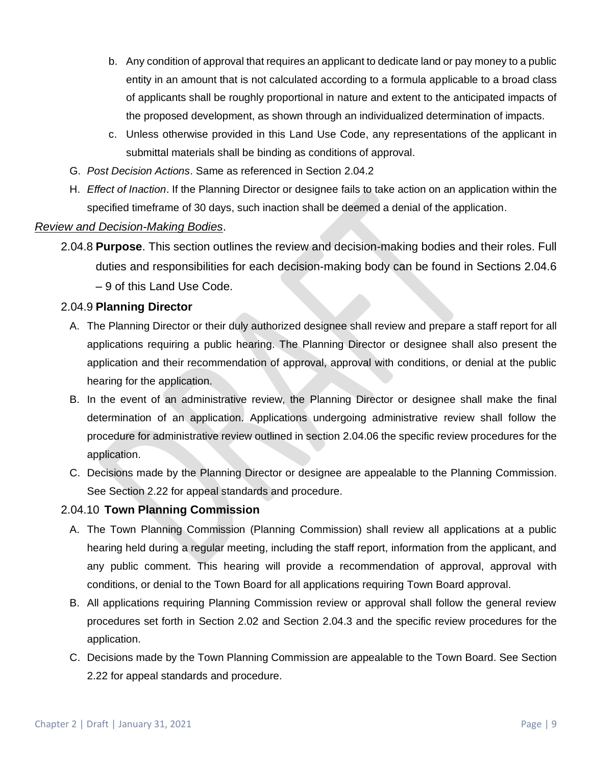- b. Any condition of approval that requires an applicant to dedicate land or pay money to a public entity in an amount that is not calculated according to a formula applicable to a broad class of applicants shall be roughly proportional in nature and extent to the anticipated impacts of the proposed development, as shown through an individualized determination of impacts.
- c. Unless otherwise provided in this Land Use Code, any representations of the applicant in submittal materials shall be binding as conditions of approval.
- G. *Post Decision Actions*. Same as referenced in Section 2.04.2
- H. *Effect of Inaction*. If the Planning Director or designee fails to take action on an application within the specified timeframe of 30 days, such inaction shall be deemed a denial of the application.

#### *Review and Decision-Making Bodies*.

2.04.8 **Purpose**. This section outlines the review and decision-making bodies and their roles. Full duties and responsibilities for each decision-making body can be found in Sections 2.04.6 – 9 of this Land Use Code.

#### 2.04.9 **Planning Director**

- A. The Planning Director or their duly authorized designee shall review and prepare a staff report for all applications requiring a public hearing. The Planning Director or designee shall also present the application and their recommendation of approval, approval with conditions, or denial at the public hearing for the application.
- B. In the event of an administrative review, the Planning Director or designee shall make the final determination of an application. Applications undergoing administrative review shall follow the procedure for administrative review outlined in section 2.04.06 the specific review procedures for the application.
- C. Decisions made by the Planning Director or designee are appealable to the Planning Commission. See Section 2.22 for appeal standards and procedure.

#### 2.04.10 **Town Planning Commission**

- A. The Town Planning Commission (Planning Commission) shall review all applications at a public hearing held during a regular meeting, including the staff report, information from the applicant, and any public comment. This hearing will provide a recommendation of approval, approval with conditions, or denial to the Town Board for all applications requiring Town Board approval.
- B. All applications requiring Planning Commission review or approval shall follow the general review procedures set forth in Section 2.02 and Section 2.04.3 and the specific review procedures for the application.
- C. Decisions made by the Town Planning Commission are appealable to the Town Board. See Section 2.22 for appeal standards and procedure.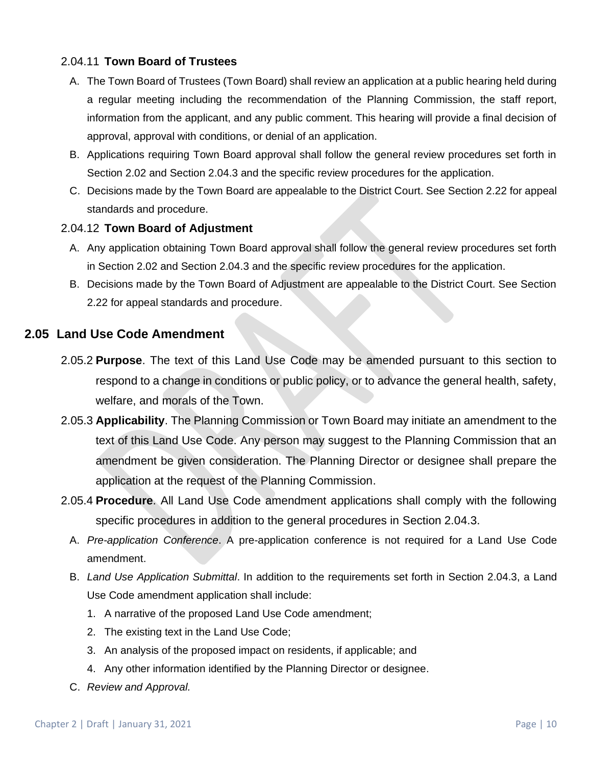## 2.04.11 **Town Board of Trustees**

- A. The Town Board of Trustees (Town Board) shall review an application at a public hearing held during a regular meeting including the recommendation of the Planning Commission, the staff report, information from the applicant, and any public comment. This hearing will provide a final decision of approval, approval with conditions, or denial of an application.
- B. Applications requiring Town Board approval shall follow the general review procedures set forth in Section 2.02 and Section 2.04.3 and the specific review procedures for the application.
- C. Decisions made by the Town Board are appealable to the District Court. See Section 2.22 for appeal standards and procedure.

## 2.04.12 **Town Board of Adjustment**

- A. Any application obtaining Town Board approval shall follow the general review procedures set forth in Section 2.02 and Section 2.04.3 and the specific review procedures for the application.
- B. Decisions made by the Town Board of Adjustment are appealable to the District Court. See Section 2.22 for appeal standards and procedure.

## **2.05 Land Use Code Amendment**

- 2.05.2 **Purpose**. The text of this Land Use Code may be amended pursuant to this section to respond to a change in conditions or public policy, or to advance the general health, safety, welfare, and morals of the Town.
- 2.05.3 **Applicability**. The Planning Commission or Town Board may initiate an amendment to the text of this Land Use Code. Any person may suggest to the Planning Commission that an amendment be given consideration. The Planning Director or designee shall prepare the application at the request of the Planning Commission.
- 2.05.4 **Procedure**. All Land Use Code amendment applications shall comply with the following specific procedures in addition to the general procedures in Section 2.04.3.
	- A. *Pre-application Conference*. A pre-application conference is not required for a Land Use Code amendment.
	- B. *Land Use Application Submittal*. In addition to the requirements set forth in Section 2.04.3, a Land Use Code amendment application shall include:
		- 1. A narrative of the proposed Land Use Code amendment;
		- 2. The existing text in the Land Use Code;
		- 3. An analysis of the proposed impact on residents, if applicable; and
		- 4. Any other information identified by the Planning Director or designee.
	- C. *Review and Approval.*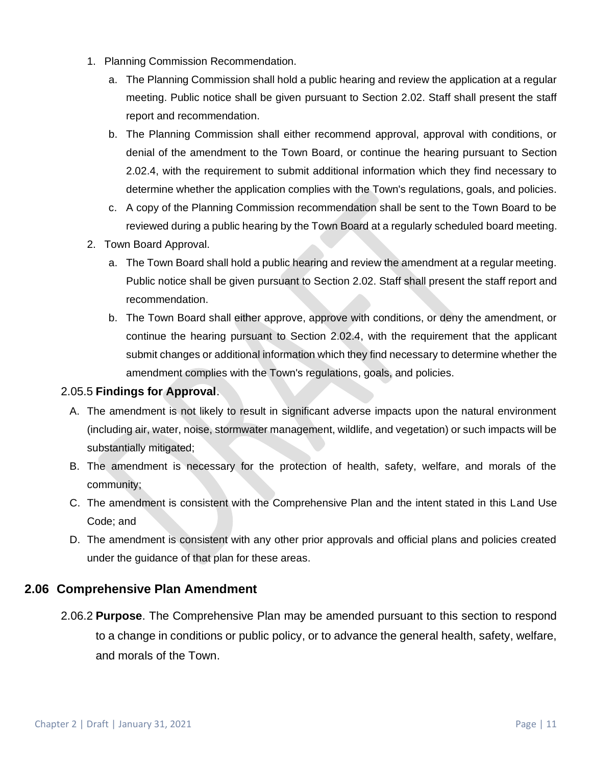- 1. Planning Commission Recommendation.
	- a. The Planning Commission shall hold a public hearing and review the application at a regular meeting. Public notice shall be given pursuant to Section 2.02. Staff shall present the staff report and recommendation.
	- b. The Planning Commission shall either recommend approval, approval with conditions, or denial of the amendment to the Town Board, or continue the hearing pursuant to Section 2.02.4, with the requirement to submit additional information which they find necessary to determine whether the application complies with the Town's regulations, goals, and policies.
	- c. A copy of the Planning Commission recommendation shall be sent to the Town Board to be reviewed during a public hearing by the Town Board at a regularly scheduled board meeting.
- 2. Town Board Approval.
	- a. The Town Board shall hold a public hearing and review the amendment at a regular meeting. Public notice shall be given pursuant to Section 2.02. Staff shall present the staff report and recommendation.
	- b. The Town Board shall either approve, approve with conditions, or deny the amendment, or continue the hearing pursuant to Section 2.02.4, with the requirement that the applicant submit changes or additional information which they find necessary to determine whether the amendment complies with the Town's regulations, goals, and policies.

## 2.05.5 **Findings for Approval**.

- A. The amendment is not likely to result in significant adverse impacts upon the natural environment (including air, water, noise, stormwater management, wildlife, and vegetation) or such impacts will be substantially mitigated;
- B. The amendment is necessary for the protection of health, safety, welfare, and morals of the community;
- C. The amendment is consistent with the Comprehensive Plan and the intent stated in this Land Use Code; and
- D. The amendment is consistent with any other prior approvals and official plans and policies created under the guidance of that plan for these areas.

## **2.06 Comprehensive Plan Amendment**

2.06.2 **Purpose**. The Comprehensive Plan may be amended pursuant to this section to respond to a change in conditions or public policy, or to advance the general health, safety, welfare, and morals of the Town.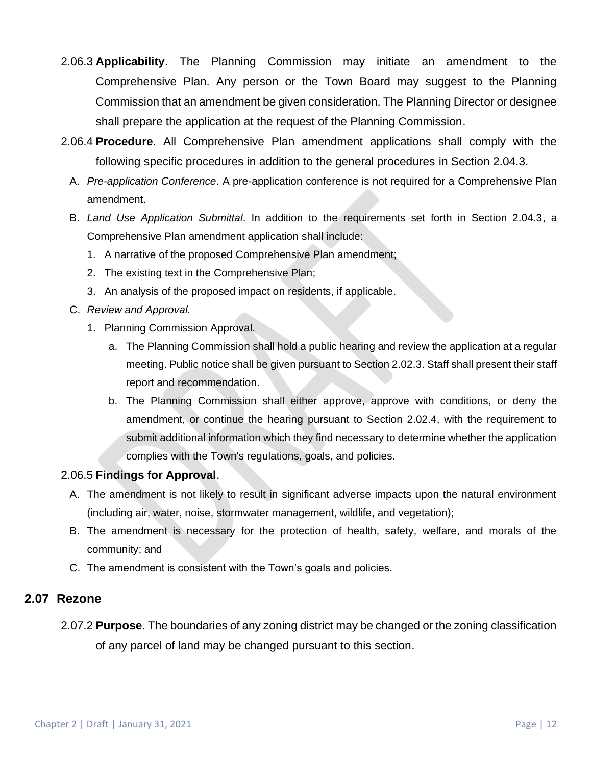- 2.06.3 **Applicability**. The Planning Commission may initiate an amendment to the Comprehensive Plan. Any person or the Town Board may suggest to the Planning Commission that an amendment be given consideration. The Planning Director or designee shall prepare the application at the request of the Planning Commission.
- 2.06.4 **Procedure**. All Comprehensive Plan amendment applications shall comply with the following specific procedures in addition to the general procedures in Section 2.04.3.
	- A. *Pre-application Conference*. A pre-application conference is not required for a Comprehensive Plan amendment.
	- B. *Land Use Application Submittal*. In addition to the requirements set forth in Section 2.04.3, a Comprehensive Plan amendment application shall include:
		- 1. A narrative of the proposed Comprehensive Plan amendment;
		- 2. The existing text in the Comprehensive Plan;
		- 3. An analysis of the proposed impact on residents, if applicable.
	- C. *Review and Approval.*
		- 1. Planning Commission Approval.
			- a. The Planning Commission shall hold a public hearing and review the application at a regular meeting. Public notice shall be given pursuant to Section 2.02.3. Staff shall present their staff report and recommendation.
			- b. The Planning Commission shall either approve, approve with conditions, or deny the amendment, or continue the hearing pursuant to Section 2.02.4, with the requirement to submit additional information which they find necessary to determine whether the application complies with the Town's regulations, goals, and policies.

## 2.06.5 **Findings for Approval**.

- A. The amendment is not likely to result in significant adverse impacts upon the natural environment (including air, water, noise, stormwater management, wildlife, and vegetation);
- B. The amendment is necessary for the protection of health, safety, welfare, and morals of the community; and
- C. The amendment is consistent with the Town's goals and policies.

## **2.07 Rezone**

2.07.2 **Purpose**. The boundaries of any zoning district may be changed or the zoning classification of any parcel of land may be changed pursuant to this section.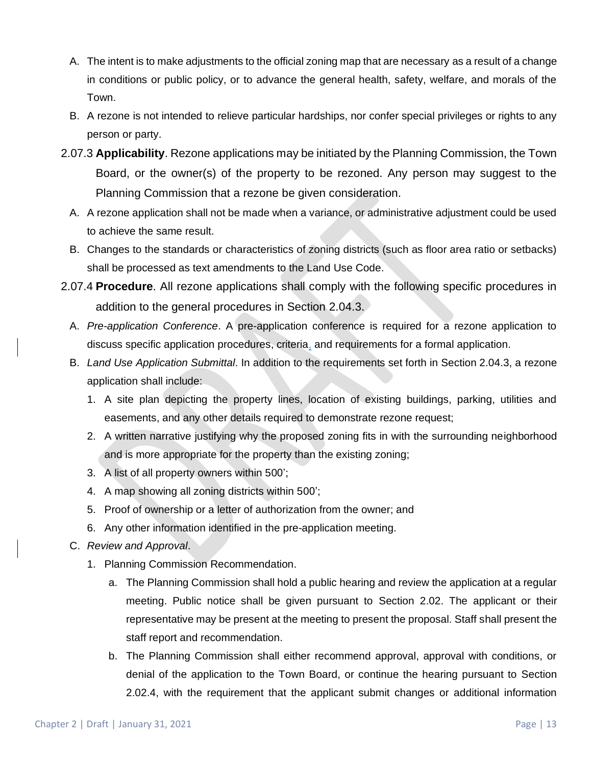- A. The intent is to make adjustments to the official zoning map that are necessary as a result of a change in conditions or public policy, or to advance the general health, safety, welfare, and morals of the Town.
- B. A rezone is not intended to relieve particular hardships, nor confer special privileges or rights to any person or party.
- 2.07.3 **Applicability**. Rezone applications may be initiated by the Planning Commission, the Town Board, or the owner(s) of the property to be rezoned. Any person may suggest to the Planning Commission that a rezone be given consideration.
	- A. A rezone application shall not be made when a variance, or administrative adjustment could be used to achieve the same result.
	- B. Changes to the standards or characteristics of zoning districts (such as floor area ratio or setbacks) shall be processed as text amendments to the Land Use Code.
- 2.07.4 **Procedure**. All rezone applications shall comply with the following specific procedures in addition to the general procedures in Section 2.04.3.
	- A. *Pre-application Conference*. A pre-application conference is required for a rezone application to discuss specific application procedures, criteria, and requirements for a formal application.
	- B. *Land Use Application Submittal*. In addition to the requirements set forth in Section 2.04.3, a rezone application shall include:
		- 1. A site plan depicting the property lines, location of existing buildings, parking, utilities and easements, and any other details required to demonstrate rezone request;
		- 2. A written narrative justifying why the proposed zoning fits in with the surrounding neighborhood and is more appropriate for the property than the existing zoning;
		- 3. A list of all property owners within 500';
		- 4. A map showing all zoning districts within 500';
		- 5. Proof of ownership or a letter of authorization from the owner; and
		- 6. Any other information identified in the pre-application meeting.
	- C. *Review and Approval*.
		- 1. Planning Commission Recommendation.
			- a. The Planning Commission shall hold a public hearing and review the application at a regular meeting. Public notice shall be given pursuant to Section 2.02. The applicant or their representative may be present at the meeting to present the proposal. Staff shall present the staff report and recommendation.
			- b. The Planning Commission shall either recommend approval, approval with conditions, or denial of the application to the Town Board, or continue the hearing pursuant to Section 2.02.4, with the requirement that the applicant submit changes or additional information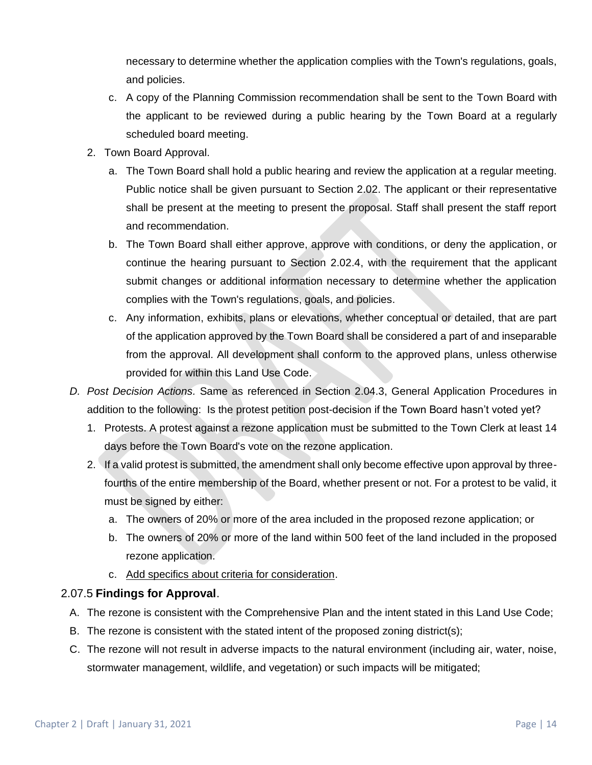necessary to determine whether the application complies with the Town's regulations, goals, and policies.

- c. A copy of the Planning Commission recommendation shall be sent to the Town Board with the applicant to be reviewed during a public hearing by the Town Board at a regularly scheduled board meeting.
- 2. Town Board Approval.
	- a. The Town Board shall hold a public hearing and review the application at a regular meeting. Public notice shall be given pursuant to Section 2.02. The applicant or their representative shall be present at the meeting to present the proposal. Staff shall present the staff report and recommendation.
	- b. The Town Board shall either approve, approve with conditions, or deny the application, or continue the hearing pursuant to Section 2.02.4, with the requirement that the applicant submit changes or additional information necessary to determine whether the application complies with the Town's regulations, goals, and policies.
	- c. Any information, exhibits, plans or elevations, whether conceptual or detailed, that are part of the application approved by the Town Board shall be considered a part of and inseparable from the approval. All development shall conform to the approved plans, unless otherwise provided for within this Land Use Code.
- *D. Post Decision Actions.* Same as referenced in Section 2.04.3, General Application Procedures in addition to the following: Is the protest petition post-decision if the Town Board hasn't voted yet?
	- 1. Protests. A protest against a rezone application must be submitted to the Town Clerk at least 14 days before the Town Board's vote on the rezone application.
	- 2. If a valid protest is submitted, the amendment shall only become effective upon approval by threefourths of the entire membership of the Board, whether present or not. For a protest to be valid, it must be signed by either:
		- a. The owners of 20% or more of the area included in the proposed rezone application; or
		- b. The owners of 20% or more of the land within 500 feet of the land included in the proposed rezone application.
		- c. Add specifics about criteria for consideration.

## 2.07.5 **Findings for Approval**.

- A. The rezone is consistent with the Comprehensive Plan and the intent stated in this Land Use Code;
- B. The rezone is consistent with the stated intent of the proposed zoning district(s);
- C. The rezone will not result in adverse impacts to the natural environment (including air, water, noise, stormwater management, wildlife, and vegetation) or such impacts will be mitigated;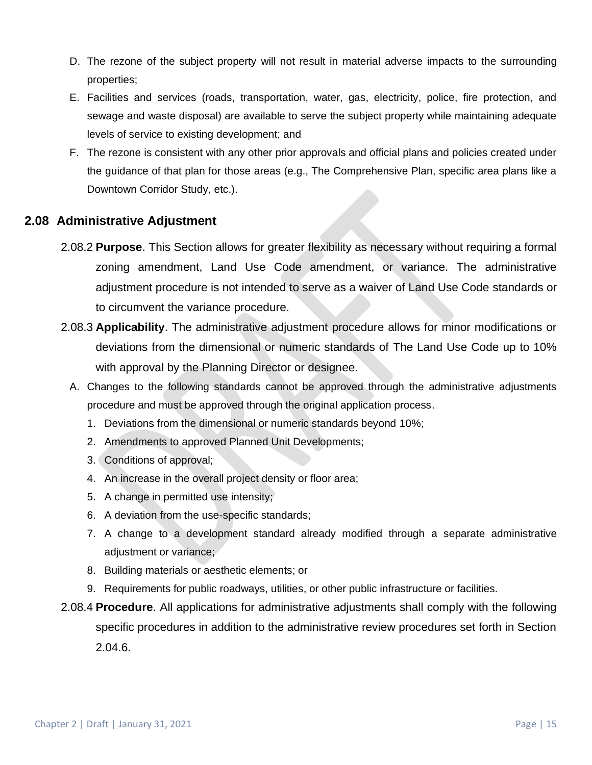- D. The rezone of the subject property will not result in material adverse impacts to the surrounding properties;
- E. Facilities and services (roads, transportation, water, gas, electricity, police, fire protection, and sewage and waste disposal) are available to serve the subject property while maintaining adequate levels of service to existing development; and
- F. The rezone is consistent with any other prior approvals and official plans and policies created under the guidance of that plan for those areas (e.g., The Comprehensive Plan, specific area plans like a Downtown Corridor Study, etc.).

## **2.08 Administrative Adjustment**

- 2.08.2 **Purpose**. This Section allows for greater flexibility as necessary without requiring a formal zoning amendment, Land Use Code amendment, or variance. The administrative adjustment procedure is not intended to serve as a waiver of Land Use Code standards or to circumvent the variance procedure.
- 2.08.3 **Applicability**. The administrative adjustment procedure allows for minor modifications or deviations from the dimensional or numeric standards of The Land Use Code up to 10% with approval by the Planning Director or designee.
	- A. Changes to the following standards cannot be approved through the administrative adjustments procedure and must be approved through the original application process.
		- 1. Deviations from the dimensional or numeric standards beyond 10%;
		- 2. Amendments to approved Planned Unit Developments;
		- 3. Conditions of approval;
		- 4. An increase in the overall project density or floor area;
		- 5. A change in permitted use intensity;
		- 6. A deviation from the use-specific standards;
		- 7. A change to a development standard already modified through a separate administrative adjustment or variance;
		- 8. Building materials or aesthetic elements; or
		- 9. Requirements for public roadways, utilities, or other public infrastructure or facilities.
- 2.08.4 **Procedure**. All applications for administrative adjustments shall comply with the following specific procedures in addition to the administrative review procedures set forth in Section 2.04.6.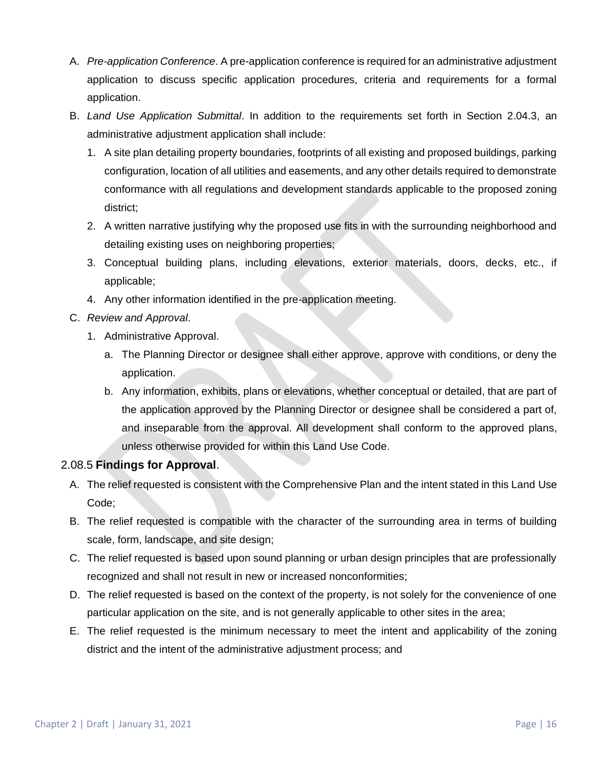- A. *Pre-application Conference*. A pre-application conference is required for an administrative adjustment application to discuss specific application procedures, criteria and requirements for a formal application.
- B. *Land Use Application Submittal*. In addition to the requirements set forth in Section 2.04.3, an administrative adjustment application shall include:
	- 1. A site plan detailing property boundaries, footprints of all existing and proposed buildings, parking configuration, location of all utilities and easements, and any other details required to demonstrate conformance with all regulations and development standards applicable to the proposed zoning district;
	- 2. A written narrative justifying why the proposed use fits in with the surrounding neighborhood and detailing existing uses on neighboring properties;
	- 3. Conceptual building plans, including elevations, exterior materials, doors, decks, etc., if applicable;
	- 4. Any other information identified in the pre-application meeting.
- C. *Review and Approval*.
	- 1. Administrative Approval.
		- a. The Planning Director or designee shall either approve, approve with conditions, or deny the application.
		- b. Any information, exhibits, plans or elevations, whether conceptual or detailed, that are part of the application approved by the Planning Director or designee shall be considered a part of, and inseparable from the approval. All development shall conform to the approved plans, unless otherwise provided for within this Land Use Code.

## 2.08.5 **Findings for Approval**.

- A. The relief requested is consistent with the Comprehensive Plan and the intent stated in this Land Use Code;
- B. The relief requested is compatible with the character of the surrounding area in terms of building scale, form, landscape, and site design;
- C. The relief requested is based upon sound planning or urban design principles that are professionally recognized and shall not result in new or increased nonconformities;
- D. The relief requested is based on the context of the property, is not solely for the convenience of one particular application on the site, and is not generally applicable to other sites in the area;
- E. The relief requested is the minimum necessary to meet the intent and applicability of the zoning district and the intent of the administrative adjustment process; and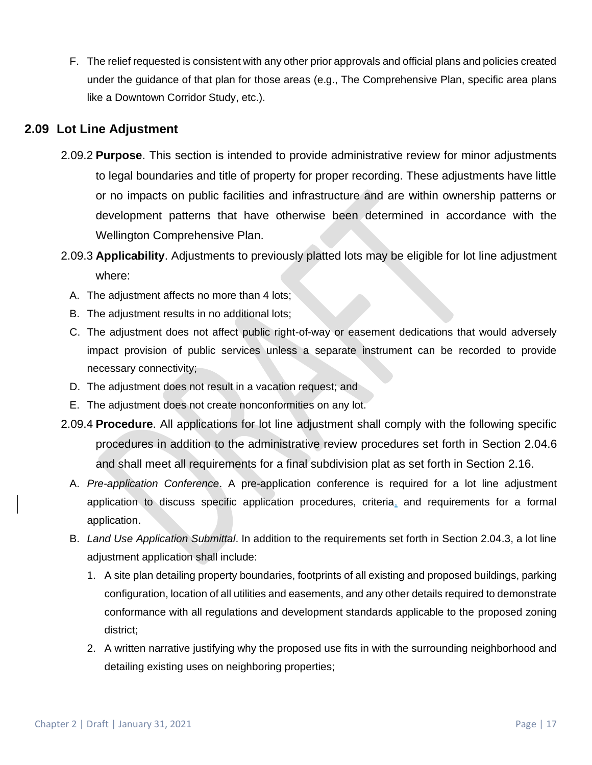F. The relief requested is consistent with any other prior approvals and official plans and policies created under the guidance of that plan for those areas (e.g., The Comprehensive Plan, specific area plans like a Downtown Corridor Study, etc.).

## **2.09 Lot Line Adjustment**

- 2.09.2 **Purpose**. This section is intended to provide administrative review for minor adjustments to legal boundaries and title of property for proper recording. These adjustments have little or no impacts on public facilities and infrastructure and are within ownership patterns or development patterns that have otherwise been determined in accordance with the Wellington Comprehensive Plan.
- 2.09.3 **Applicability**. Adjustments to previously platted lots may be eligible for lot line adjustment where:
	- A. The adjustment affects no more than 4 lots;
	- B. The adjustment results in no additional lots;
	- C. The adjustment does not affect public right-of-way or easement dedications that would adversely impact provision of public services unless a separate instrument can be recorded to provide necessary connectivity;
	- D. The adjustment does not result in a vacation request; and
	- E. The adjustment does not create nonconformities on any lot.
- 2.09.4 **Procedure**. All applications for lot line adjustment shall comply with the following specific procedures in addition to the administrative review procedures set forth in Section 2.04.6 and shall meet all requirements for a final subdivision plat as set forth in Section 2.16.
	- A. *Pre-application Conference*. A pre-application conference is required for a lot line adjustment application to discuss specific application procedures, criteria, and requirements for a formal application.
	- B. *Land Use Application Submittal*. In addition to the requirements set forth in Section 2.04.3, a lot line adjustment application shall include:
		- 1. A site plan detailing property boundaries, footprints of all existing and proposed buildings, parking configuration, location of all utilities and easements, and any other details required to demonstrate conformance with all regulations and development standards applicable to the proposed zoning district;
		- 2. A written narrative justifying why the proposed use fits in with the surrounding neighborhood and detailing existing uses on neighboring properties;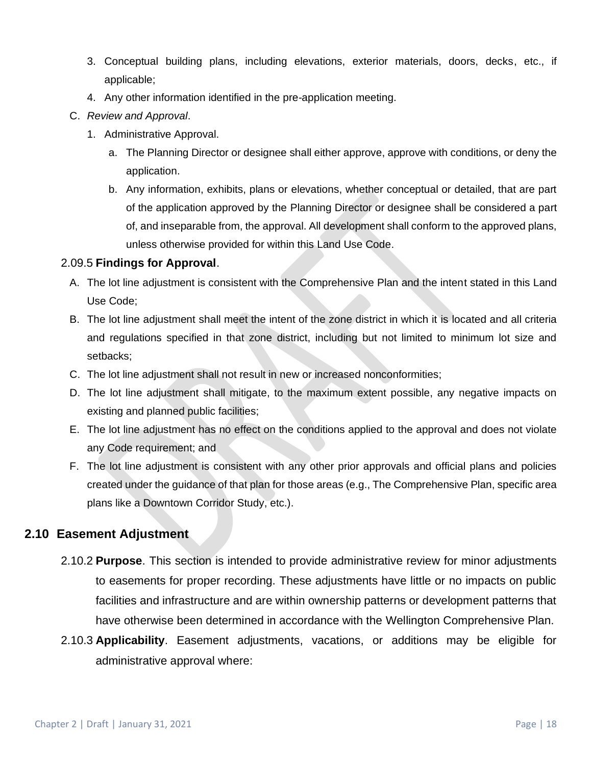- 3. Conceptual building plans, including elevations, exterior materials, doors, decks, etc., if applicable;
- 4. Any other information identified in the pre-application meeting.
- C. *Review and Approval*.
	- 1. Administrative Approval.
		- a. The Planning Director or designee shall either approve, approve with conditions, or deny the application.
		- b. Any information, exhibits, plans or elevations, whether conceptual or detailed, that are part of the application approved by the Planning Director or designee shall be considered a part of, and inseparable from, the approval. All development shall conform to the approved plans, unless otherwise provided for within this Land Use Code.

## 2.09.5 **Findings for Approval**.

- A. The lot line adjustment is consistent with the Comprehensive Plan and the intent stated in this Land Use Code;
- B. The lot line adjustment shall meet the intent of the zone district in which it is located and all criteria and regulations specified in that zone district, including but not limited to minimum lot size and setbacks;
- C. The lot line adjustment shall not result in new or increased nonconformities;
- D. The lot line adjustment shall mitigate, to the maximum extent possible, any negative impacts on existing and planned public facilities;
- E. The lot line adjustment has no effect on the conditions applied to the approval and does not violate any Code requirement; and
- F. The lot line adjustment is consistent with any other prior approvals and official plans and policies created under the guidance of that plan for those areas (e.g., The Comprehensive Plan, specific area plans like a Downtown Corridor Study, etc.).

## **2.10 Easement Adjustment**

- 2.10.2 **Purpose**. This section is intended to provide administrative review for minor adjustments to easements for proper recording. These adjustments have little or no impacts on public facilities and infrastructure and are within ownership patterns or development patterns that have otherwise been determined in accordance with the Wellington Comprehensive Plan.
- 2.10.3 **Applicability**. Easement adjustments, vacations, or additions may be eligible for administrative approval where: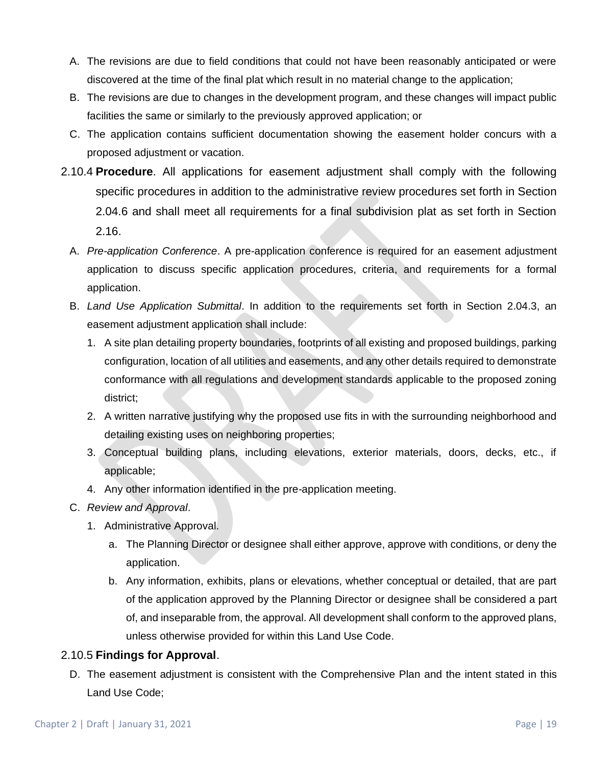- A. The revisions are due to field conditions that could not have been reasonably anticipated or were discovered at the time of the final plat which result in no material change to the application;
- B. The revisions are due to changes in the development program, and these changes will impact public facilities the same or similarly to the previously approved application; or
- C. The application contains sufficient documentation showing the easement holder concurs with a proposed adjustment or vacation.
- 2.10.4 **Procedure**. All applications for easement adjustment shall comply with the following specific procedures in addition to the administrative review procedures set forth in Section 2.04.6 and shall meet all requirements for a final subdivision plat as set forth in Section 2.16.
	- A. *Pre-application Conference*. A pre-application conference is required for an easement adjustment application to discuss specific application procedures, criteria, and requirements for a formal application.
	- B. *Land Use Application Submittal*. In addition to the requirements set forth in Section 2.04.3, an easement adjustment application shall include:
		- 1. A site plan detailing property boundaries, footprints of all existing and proposed buildings, parking configuration, location of all utilities and easements, and any other details required to demonstrate conformance with all regulations and development standards applicable to the proposed zoning district;
		- 2. A written narrative justifying why the proposed use fits in with the surrounding neighborhood and detailing existing uses on neighboring properties;
		- 3. Conceptual building plans, including elevations, exterior materials, doors, decks, etc., if applicable;
		- 4. Any other information identified in the pre-application meeting.
	- C. *Review and Approval*.
		- 1. Administrative Approval.
			- a. The Planning Director or designee shall either approve, approve with conditions, or deny the application.
			- b. Any information, exhibits, plans or elevations, whether conceptual or detailed, that are part of the application approved by the Planning Director or designee shall be considered a part of, and inseparable from, the approval. All development shall conform to the approved plans, unless otherwise provided for within this Land Use Code.

## 2.10.5 **Findings for Approval**.

D. The easement adjustment is consistent with the Comprehensive Plan and the intent stated in this Land Use Code;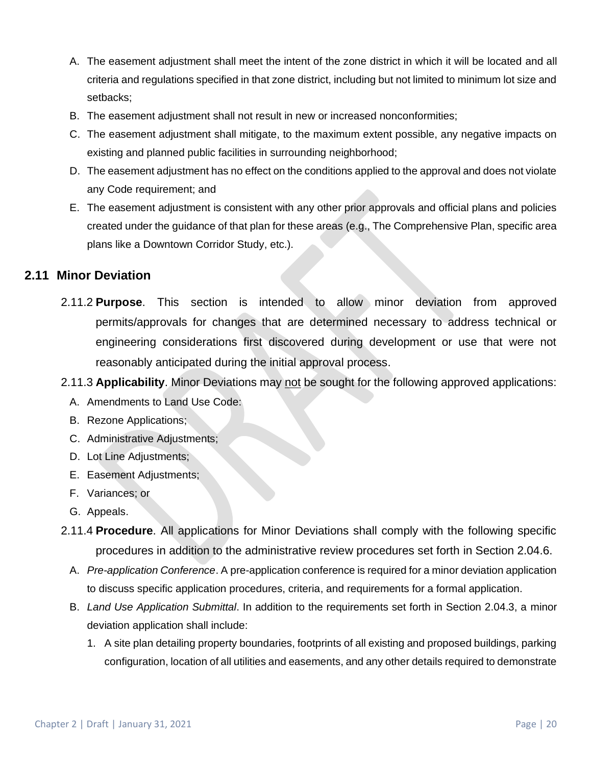- A. The easement adjustment shall meet the intent of the zone district in which it will be located and all criteria and regulations specified in that zone district, including but not limited to minimum lot size and setbacks;
- B. The easement adjustment shall not result in new or increased nonconformities;
- C. The easement adjustment shall mitigate, to the maximum extent possible, any negative impacts on existing and planned public facilities in surrounding neighborhood;
- D. The easement adjustment has no effect on the conditions applied to the approval and does not violate any Code requirement; and
- E. The easement adjustment is consistent with any other prior approvals and official plans and policies created under the guidance of that plan for these areas (e.g., The Comprehensive Plan, specific area plans like a Downtown Corridor Study, etc.).

## **2.11 Minor Deviation**

- 2.11.2 **Purpose**. This section is intended to allow minor deviation from approved permits/approvals for changes that are determined necessary to address technical or engineering considerations first discovered during development or use that were not reasonably anticipated during the initial approval process.
- 2.11.3 **Applicability**. Minor Deviations may not be sought for the following approved applications:
	- A. Amendments to Land Use Code:
	- B. Rezone Applications;
	- C. Administrative Adjustments;
	- D. Lot Line Adjustments;
	- E. Easement Adjustments;
	- F. Variances; or
	- G. Appeals.
- 2.11.4 **Procedure**. All applications for Minor Deviations shall comply with the following specific procedures in addition to the administrative review procedures set forth in Section 2.04.6.
	- A. *Pre-application Conference*. A pre-application conference is required for a minor deviation application to discuss specific application procedures, criteria, and requirements for a formal application.
	- B. *Land Use Application Submittal*. In addition to the requirements set forth in Section 2.04.3, a minor deviation application shall include:
		- 1. A site plan detailing property boundaries, footprints of all existing and proposed buildings, parking configuration, location of all utilities and easements, and any other details required to demonstrate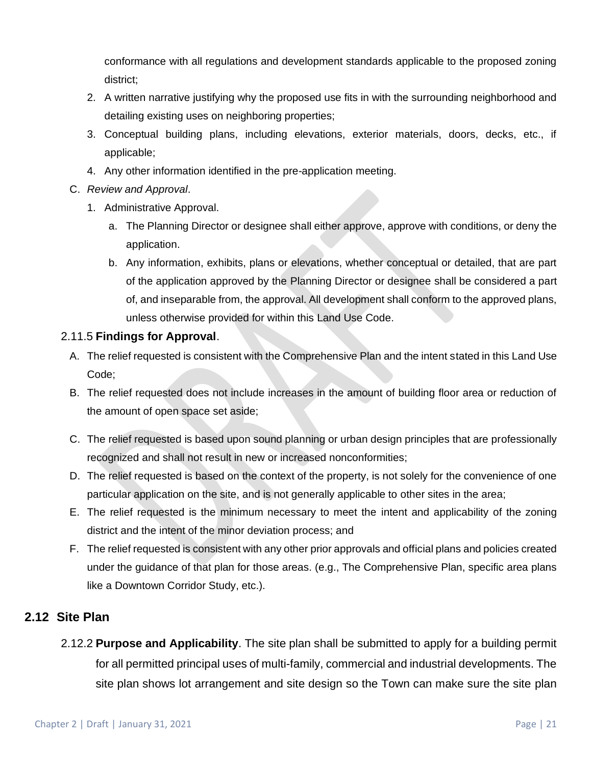conformance with all regulations and development standards applicable to the proposed zoning district;

- 2. A written narrative justifying why the proposed use fits in with the surrounding neighborhood and detailing existing uses on neighboring properties;
- 3. Conceptual building plans, including elevations, exterior materials, doors, decks, etc., if applicable;
- 4. Any other information identified in the pre-application meeting.
- C. *Review and Approval*.
	- 1. Administrative Approval.
		- a. The Planning Director or designee shall either approve, approve with conditions, or deny the application.
		- b. Any information, exhibits, plans or elevations, whether conceptual or detailed, that are part of the application approved by the Planning Director or designee shall be considered a part of, and inseparable from, the approval. All development shall conform to the approved plans, unless otherwise provided for within this Land Use Code.

#### 2.11.5 **Findings for Approval**.

- A. The relief requested is consistent with the Comprehensive Plan and the intent stated in this Land Use Code;
- B. The relief requested does not include increases in the amount of building floor area or reduction of the amount of open space set aside;
- C. The relief requested is based upon sound planning or urban design principles that are professionally recognized and shall not result in new or increased nonconformities;
- D. The relief requested is based on the context of the property, is not solely for the convenience of one particular application on the site, and is not generally applicable to other sites in the area;
- E. The relief requested is the minimum necessary to meet the intent and applicability of the zoning district and the intent of the minor deviation process; and
- F. The relief requested is consistent with any other prior approvals and official plans and policies created under the guidance of that plan for those areas. (e.g., The Comprehensive Plan, specific area plans like a Downtown Corridor Study, etc.).

## **2.12 Site Plan**

2.12.2 **Purpose and Applicability**. The site plan shall be submitted to apply for a building permit for all permitted principal uses of multi-family, commercial and industrial developments. The site plan shows lot arrangement and site design so the Town can make sure the site plan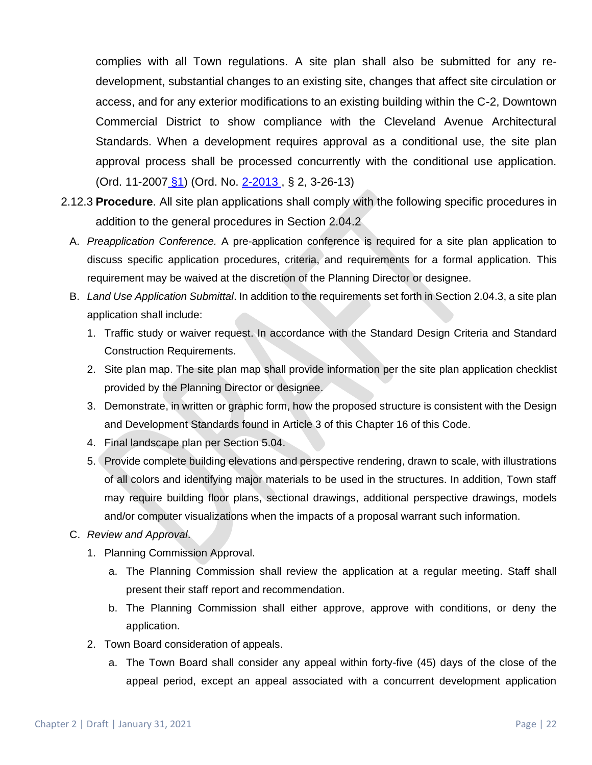complies with all Town regulations. A site plan shall also be submitted for any redevelopment, substantial changes to an existing site, changes that affect site circulation or access, and for any exterior modifications to an existing building within the C-2, Downtown Commercial District to show compliance with the Cleveland Avenue Architectural Standards. When a development requires approval as a conditional use, the site plan approval process shall be processed concurrently with the conditional use application. (Ord. 11-2007 [§1\)](https://library.municode.com/co/wellington/codes/municipal_code?nodeId=CH5FRCOSY_APX5-ACUSEST_S1PO) (Ord. No. [2-2013](https://library.municode.com/co/wellington/ordinances/municipal_code?nodeId=823117) , § 2, 3-26-13)

- 2.12.3 **Procedure**. All site plan applications shall comply with the following specific procedures in addition to the general procedures in Section 2.04.2
	- A. *Preapplication Conference.* A pre-application conference is required for a site plan application to discuss specific application procedures, criteria, and requirements for a formal application. This requirement may be waived at the discretion of the Planning Director or designee.
	- B. *Land Use Application Submittal*. In addition to the requirements set forth in Section 2.04.3, a site plan application shall include:
		- 1. Traffic study or waiver request. In accordance with the Standard Design Criteria and Standard Construction Requirements.
		- 2. Site plan map. The site plan map shall provide information per the site plan application checklist provided by the Planning Director or designee.
		- 3. Demonstrate, in written or graphic form, how the proposed structure is consistent with the Design and Development Standards found in Article 3 of this Chapter 16 of this Code.
		- 4. Final landscape plan per Section 5.04.
		- 5. Provide complete building elevations and perspective rendering, drawn to scale, with illustrations of all colors and identifying major materials to be used in the structures. In addition, Town staff may require building floor plans, sectional drawings, additional perspective drawings, models and/or computer visualizations when the impacts of a proposal warrant such information.
	- C. *Review and Approval*.
		- 1. Planning Commission Approval.
			- a. The Planning Commission shall review the application at a regular meeting. Staff shall present their staff report and recommendation.
			- b. The Planning Commission shall either approve, approve with conditions, or deny the application.
		- 2. Town Board consideration of appeals.
			- a. The Town Board shall consider any appeal within forty-five (45) days of the close of the appeal period, except an appeal associated with a concurrent development application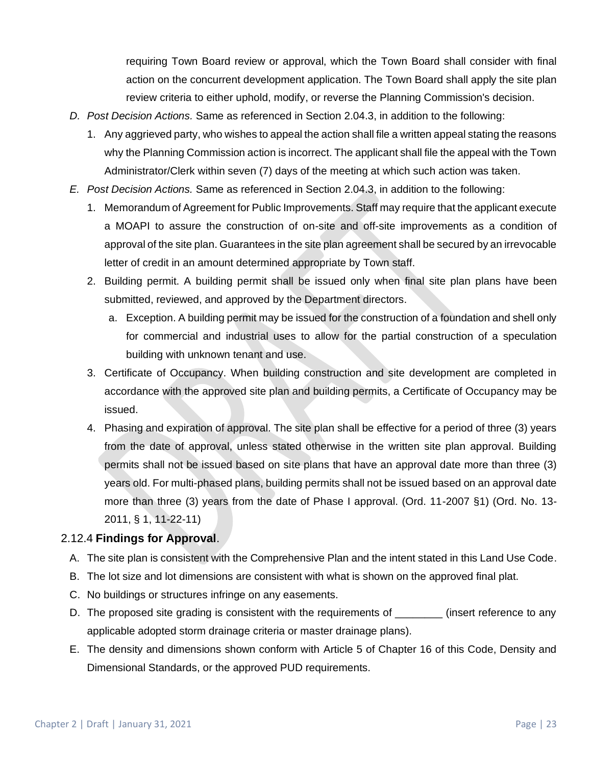requiring Town Board review or approval, which the Town Board shall consider with final action on the concurrent development application. The Town Board shall apply the site plan review criteria to either uphold, modify, or reverse the Planning Commission's decision.

- *D. Post Decision Actions.* Same as referenced in Section 2.04.3, in addition to the following:
	- 1. Any aggrieved party, who wishes to appeal the action shall file a written appeal stating the reasons why the Planning Commission action is incorrect. The applicant shall file the appeal with the Town Administrator/Clerk within seven (7) days of the meeting at which such action was taken.
- *E. Post Decision Actions.* Same as referenced in Section 2.04.3, in addition to the following:
	- 1. Memorandum of Agreement for Public Improvements. Staff may require that the applicant execute a MOAPI to assure the construction of on-site and off-site improvements as a condition of approval of the site plan. Guarantees in the site plan agreement shall be secured by an irrevocable letter of credit in an amount determined appropriate by Town staff.
	- 2. Building permit. A building permit shall be issued only when final site plan plans have been submitted, reviewed, and approved by the Department directors.
		- a. Exception. A building permit may be issued for the construction of a foundation and shell only for commercial and industrial uses to allow for the partial construction of a speculation building with unknown tenant and use.
	- 3. Certificate of Occupancy. When building construction and site development are completed in accordance with the approved site plan and building permits, a Certificate of Occupancy may be issued.
	- 4. Phasing and expiration of approval. The site plan shall be effective for a period of three (3) years from the date of approval, unless stated otherwise in the written site plan approval. Building permits shall not be issued based on site plans that have an approval date more than three (3) years old. For multi-phased plans, building permits shall not be issued based on an approval date more than three (3) years from the date of Phase I approval. (Ord. 11-2007 §1) (Ord. No. 13- 2011, § 1, 11-22-11)

## 2.12.4 **Findings for Approval**.

- A. The site plan is consistent with the Comprehensive Plan and the intent stated in this Land Use Code.
- B. The lot size and lot dimensions are consistent with what is shown on the approved final plat.
- C. No buildings or structures infringe on any easements.
- D. The proposed site grading is consistent with the requirements of  $\qquad \qquad$  (insert reference to any applicable adopted storm drainage criteria or master drainage plans).
- E. The density and dimensions shown conform with Article 5 of Chapter 16 of this Code, Density and Dimensional Standards, or the approved PUD requirements.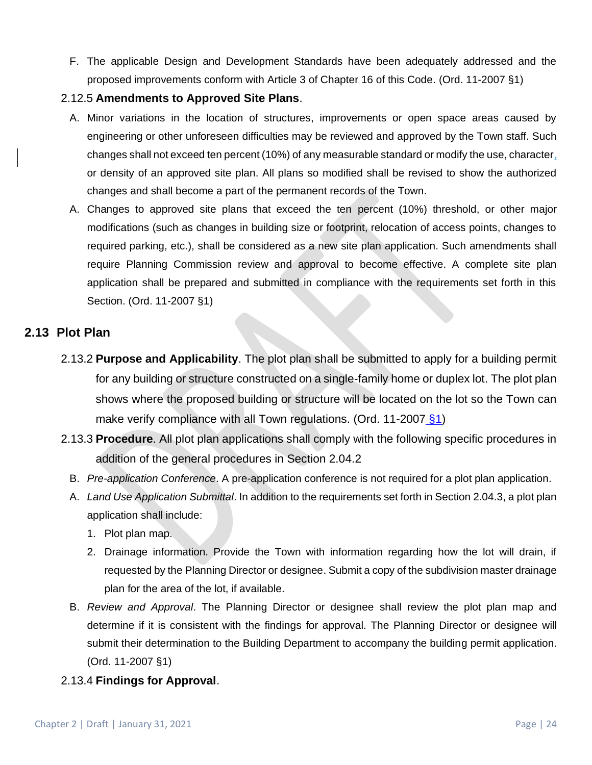F. The applicable Design and Development Standards have been adequately addressed and the proposed improvements conform with Article 3 of Chapter 16 of this Code. (Ord. 11-2007 §1)

#### 2.12.5 **Amendments to Approved Site Plans**.

- A. Minor variations in the location of structures, improvements or open space areas caused by engineering or other unforeseen difficulties may be reviewed and approved by the Town staff. Such changes shall not exceed ten percent (10%) of any measurable standard or modify the use, character, or density of an approved site plan. All plans so modified shall be revised to show the authorized changes and shall become a part of the permanent records of the Town.
- A. Changes to approved site plans that exceed the ten percent (10%) threshold, or other major modifications (such as changes in building size or footprint, relocation of access points, changes to required parking, etc.), shall be considered as a new site plan application. Such amendments shall require Planning Commission review and approval to become effective. A complete site plan application shall be prepared and submitted in compliance with the requirements set forth in this Section. (Ord. 11-2007 §1)

## **2.13 Plot Plan**

- 2.13.2 **Purpose and Applicability**. The plot plan shall be submitted to apply for a building permit for any building or structure constructed on a single-family home or duplex lot. The plot plan shows where the proposed building or structure will be located on the lot so the Town can make verify compliance with all Town regulations. (Ord. 11-2007  $§1$ )
- 2.13.3 **Procedure**. All plot plan applications shall comply with the following specific procedures in addition of the general procedures in Section 2.04.2
	- B. *Pre-application Conference*. A pre-application conference is not required for a plot plan application.
	- A. *Land Use Application Submittal*. In addition to the requirements set forth in Section 2.04.3, a plot plan application shall include:
		- 1. Plot plan map.
		- 2. Drainage information. Provide the Town with information regarding how the lot will drain, if requested by the Planning Director or designee. Submit a copy of the subdivision master drainage plan for the area of the lot, if available.
	- B. *Review and Approval*. The Planning Director or designee shall review the plot plan map and determine if it is consistent with the findings for approval. The Planning Director or designee will submit their determination to the Building Department to accompany the building permit application. (Ord. 11-2007 §1)
- 2.13.4 **Findings for Approval**.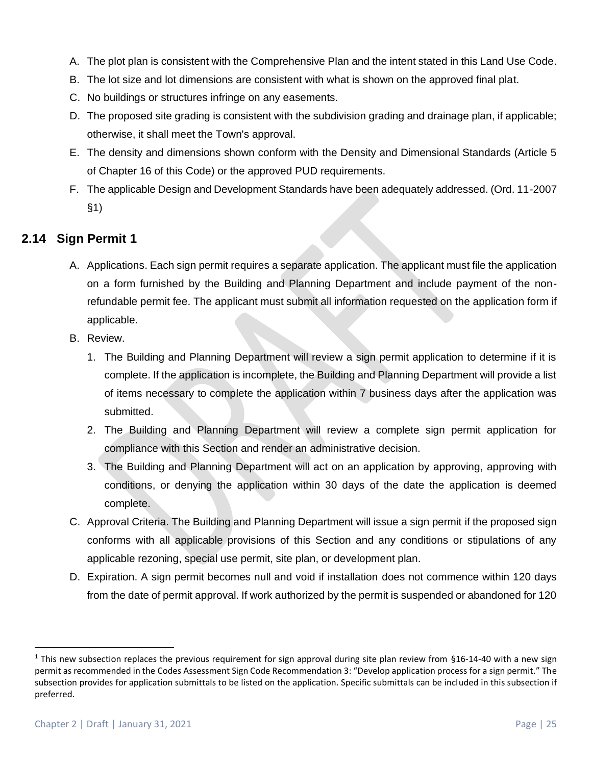- A. The plot plan is consistent with the Comprehensive Plan and the intent stated in this Land Use Code.
- B. The lot size and lot dimensions are consistent with what is shown on the approved final plat.
- C. No buildings or structures infringe on any easements.
- D. The proposed site grading is consistent with the subdivision grading and drainage plan, if applicable; otherwise, it shall meet the Town's approval.
- E. The density and dimensions shown conform with the Density and Dimensional Standards (Article 5 of Chapter 16 of this Code) or the approved PUD requirements.
- F. The applicable Design and Development Standards have been adequately addressed. (Ord. 11-2007 §1)

## **2.14 Sign Permit 1**

- A. Applications. Each sign permit requires a separate application. The applicant must file the application on a form furnished by the Building and Planning Department and include payment of the nonrefundable permit fee. The applicant must submit all information requested on the application form if applicable.
- B. Review.
	- 1. The Building and Planning Department will review a sign permit application to determine if it is complete. If the application is incomplete, the Building and Planning Department will provide a list of items necessary to complete the application within 7 business days after the application was submitted.
	- 2. The Building and Planning Department will review a complete sign permit application for compliance with this Section and render an administrative decision.
	- 3. The Building and Planning Department will act on an application by approving, approving with conditions, or denying the application within 30 days of the date the application is deemed complete.
- C. Approval Criteria. The Building and Planning Department will issue a sign permit if the proposed sign conforms with all applicable provisions of this Section and any conditions or stipulations of any applicable rezoning, special use permit, site plan, or development plan.
- D. Expiration. A sign permit becomes null and void if installation does not commence within 120 days from the date of permit approval. If work authorized by the permit is suspended or abandoned for 120

 $1$  This new subsection replaces the previous requirement for sign approval during site plan review from §16-14-40 with a new sign permit as recommended in the Codes Assessment Sign Code Recommendation 3: "Develop application process for a sign permit." The subsection provides for application submittals to be listed on the application. Specific submittals can be included in this subsection if preferred.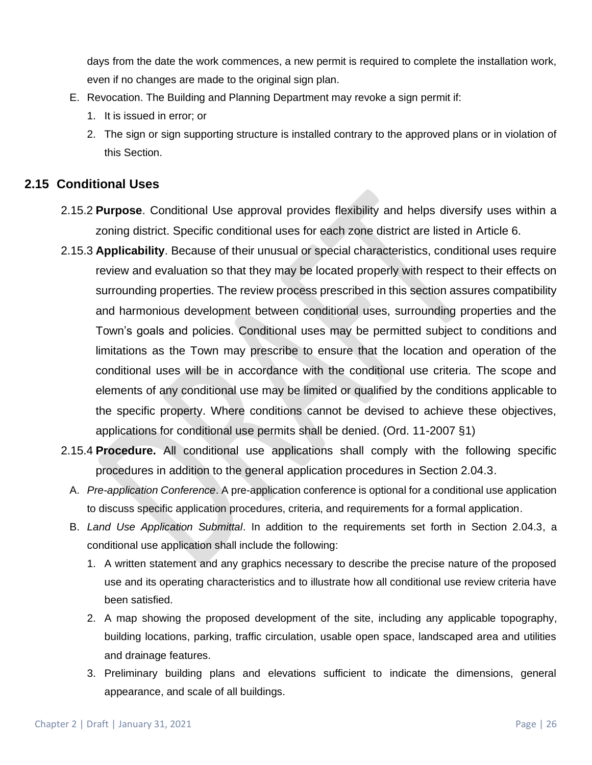days from the date the work commences, a new permit is required to complete the installation work, even if no changes are made to the original sign plan.

- E. Revocation. The Building and Planning Department may revoke a sign permit if:
	- 1. It is issued in error; or
	- 2. The sign or sign supporting structure is installed contrary to the approved plans or in violation of this Section.

## **2.15 Conditional Uses**

- 2.15.2 **Purpose**. Conditional Use approval provides flexibility and helps diversify uses within a zoning district. Specific conditional uses for each zone district are listed in Article 6.
- 2.15.3 **Applicability**. Because of their unusual or special characteristics, conditional uses require review and evaluation so that they may be located properly with respect to their effects on surrounding properties. The review process prescribed in this section assures compatibility and harmonious development between conditional uses, surrounding properties and the Town's goals and policies. Conditional uses may be permitted subject to conditions and limitations as the Town may prescribe to ensure that the location and operation of the conditional uses will be in accordance with the conditional use criteria. The scope and elements of any conditional use may be limited or qualified by the conditions applicable to the specific property. Where conditions cannot be devised to achieve these objectives, applications for conditional use permits shall be denied. (Ord. 11-2007 §1)
- 2.15.4 **Procedure.** All conditional use applications shall comply with the following specific procedures in addition to the general application procedures in Section 2.04.3.
	- A. *Pre-application Conference*. A pre-application conference is optional for a conditional use application to discuss specific application procedures, criteria, and requirements for a formal application.
	- B. *Land Use Application Submittal*. In addition to the requirements set forth in Section 2.04.3, a conditional use application shall include the following:
		- 1. A written statement and any graphics necessary to describe the precise nature of the proposed use and its operating characteristics and to illustrate how all conditional use review criteria have been satisfied.
		- 2. A map showing the proposed development of the site, including any applicable topography, building locations, parking, traffic circulation, usable open space, landscaped area and utilities and drainage features.
		- 3. Preliminary building plans and elevations sufficient to indicate the dimensions, general appearance, and scale of all buildings.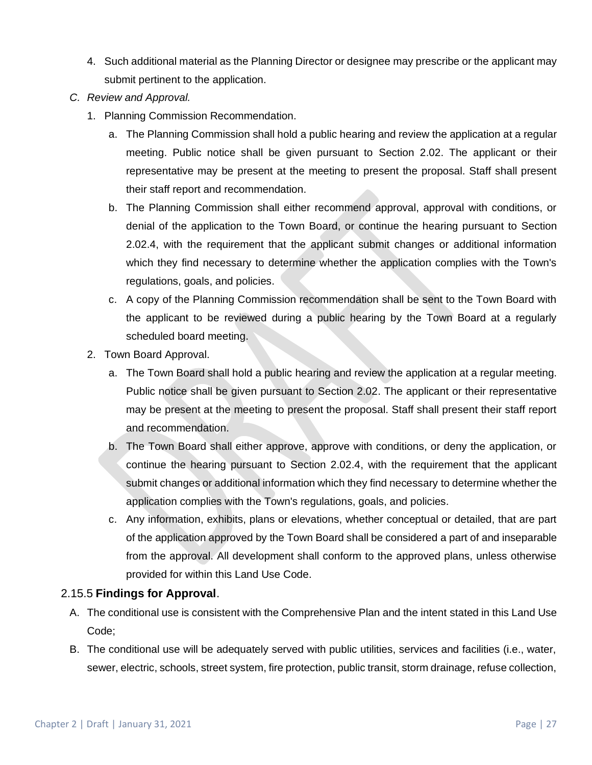- 4. Such additional material as the Planning Director or designee may prescribe or the applicant may submit pertinent to the application.
- *C. Review and Approval.* 
	- 1. Planning Commission Recommendation.
		- a. The Planning Commission shall hold a public hearing and review the application at a regular meeting. Public notice shall be given pursuant to Section 2.02. The applicant or their representative may be present at the meeting to present the proposal. Staff shall present their staff report and recommendation.
		- b. The Planning Commission shall either recommend approval, approval with conditions, or denial of the application to the Town Board, or continue the hearing pursuant to Section 2.02.4, with the requirement that the applicant submit changes or additional information which they find necessary to determine whether the application complies with the Town's regulations, goals, and policies.
		- c. A copy of the Planning Commission recommendation shall be sent to the Town Board with the applicant to be reviewed during a public hearing by the Town Board at a regularly scheduled board meeting.
	- 2. Town Board Approval.
		- a. The Town Board shall hold a public hearing and review the application at a regular meeting. Public notice shall be given pursuant to Section 2.02. The applicant or their representative may be present at the meeting to present the proposal. Staff shall present their staff report and recommendation.
		- b. The Town Board shall either approve, approve with conditions, or deny the application, or continue the hearing pursuant to Section 2.02.4, with the requirement that the applicant submit changes or additional information which they find necessary to determine whether the application complies with the Town's regulations, goals, and policies.
		- c. Any information, exhibits, plans or elevations, whether conceptual or detailed, that are part of the application approved by the Town Board shall be considered a part of and inseparable from the approval. All development shall conform to the approved plans, unless otherwise provided for within this Land Use Code.

## 2.15.5 **Findings for Approval**.

- A. The conditional use is consistent with the Comprehensive Plan and the intent stated in this Land Use Code;
- B. The conditional use will be adequately served with public utilities, services and facilities (i.e., water, sewer, electric, schools, street system, fire protection, public transit, storm drainage, refuse collection,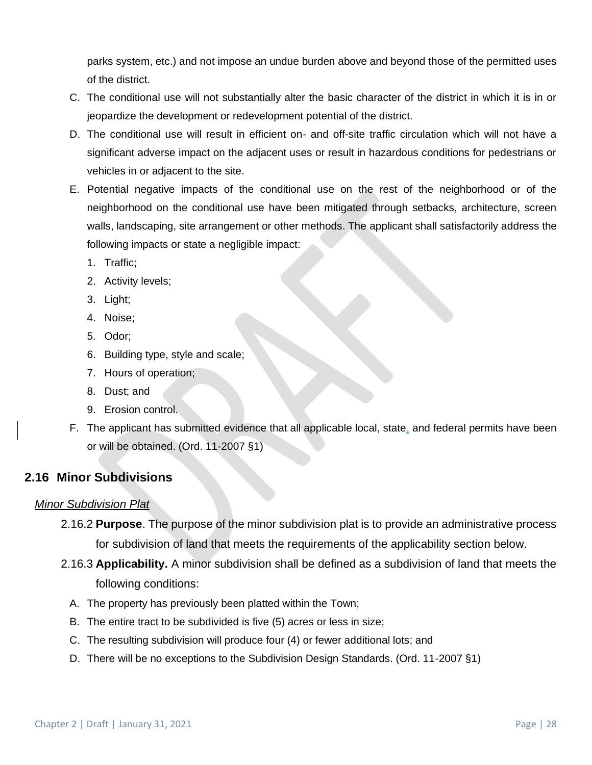parks system, etc.) and not impose an undue burden above and beyond those of the permitted uses of the district.

- C. The conditional use will not substantially alter the basic character of the district in which it is in or jeopardize the development or redevelopment potential of the district.
- D. The conditional use will result in efficient on- and off-site traffic circulation which will not have a significant adverse impact on the adjacent uses or result in hazardous conditions for pedestrians or vehicles in or adjacent to the site.
- E. Potential negative impacts of the conditional use on the rest of the neighborhood or of the neighborhood on the conditional use have been mitigated through setbacks, architecture, screen walls, landscaping, site arrangement or other methods. The applicant shall satisfactorily address the following impacts or state a negligible impact:
	- 1. Traffic;
	- 2. Activity levels;
	- 3. Light;
	- 4. Noise;
	- 5. Odor;
	- 6. Building type, style and scale;
	- 7. Hours of operation;
	- 8. Dust; and
	- 9. Erosion control.
- F. The applicant has submitted evidence that all applicable local, state, and federal permits have been or will be obtained. (Ord. 11-2007 §1)

## **2.16 Minor Subdivisions**

## *Minor Subdivision Plat*

- 2.16.2 **Purpose**. The purpose of the minor subdivision plat is to provide an administrative process for subdivision of land that meets the requirements of the applicability section below.
- 2.16.3 **Applicability.** A minor subdivision shall be defined as a subdivision of land that meets the following conditions:
	- A. The property has previously been platted within the Town;
	- B. The entire tract to be subdivided is five (5) acres or less in size;
	- C. The resulting subdivision will produce four (4) or fewer additional lots; and
	- D. There will be no exceptions to the Subdivision Design Standards. (Ord. 11-2007 §1)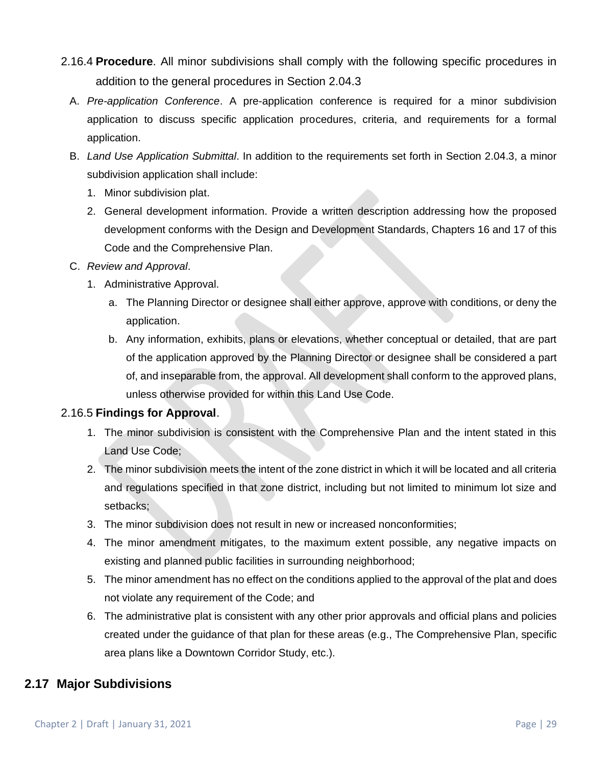- 2.16.4 **Procedure**. All minor subdivisions shall comply with the following specific procedures in addition to the general procedures in Section 2.04.3
	- A. *Pre-application Conference*. A pre-application conference is required for a minor subdivision application to discuss specific application procedures, criteria, and requirements for a formal application.
	- B. *Land Use Application Submittal*. In addition to the requirements set forth in Section 2.04.3, a minor subdivision application shall include:
		- 1. Minor subdivision plat.
		- 2. General development information. Provide a written description addressing how the proposed development conforms with the Design and Development Standards, Chapters 16 and 17 of this Code and the Comprehensive Plan.
	- C. *Review and Approval*.
		- 1. Administrative Approval.
			- a. The Planning Director or designee shall either approve, approve with conditions, or deny the application.
			- b. Any information, exhibits, plans or elevations, whether conceptual or detailed, that are part of the application approved by the Planning Director or designee shall be considered a part of, and inseparable from, the approval. All development shall conform to the approved plans, unless otherwise provided for within this Land Use Code.

## 2.16.5 **Findings for Approval**.

- 1. The minor subdivision is consistent with the Comprehensive Plan and the intent stated in this Land Use Code;
- 2. The minor subdivision meets the intent of the zone district in which it will be located and all criteria and regulations specified in that zone district, including but not limited to minimum lot size and setbacks;
- 3. The minor subdivision does not result in new or increased nonconformities;
- 4. The minor amendment mitigates, to the maximum extent possible, any negative impacts on existing and planned public facilities in surrounding neighborhood;
- 5. The minor amendment has no effect on the conditions applied to the approval of the plat and does not violate any requirement of the Code; and
- 6. The administrative plat is consistent with any other prior approvals and official plans and policies created under the guidance of that plan for these areas (e.g., The Comprehensive Plan, specific area plans like a Downtown Corridor Study, etc.).

## **2.17 Major Subdivisions**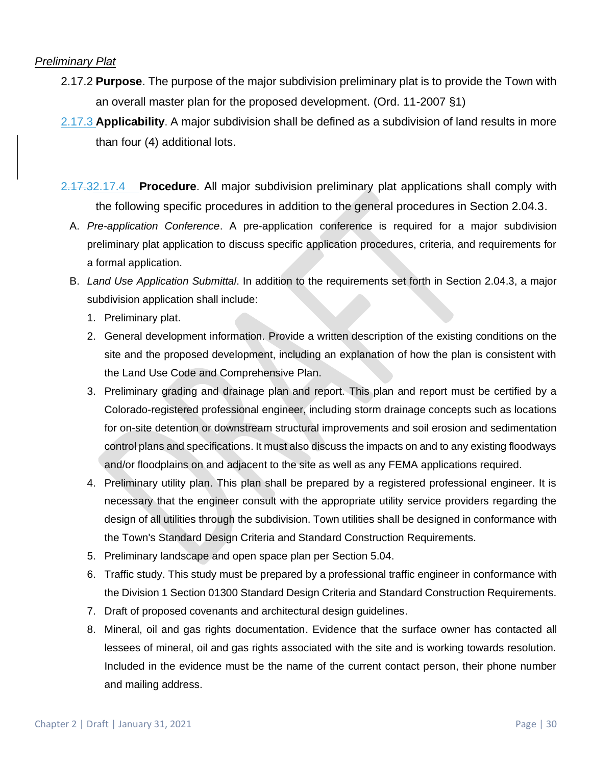#### *Preliminary Plat*

- 2.17.2 **Purpose**. The purpose of the major subdivision preliminary plat is to provide the Town with an overall master plan for the proposed development. (Ord. 11-2007 §1)
- 2.17.3 **Applicability**. A major subdivision shall be defined as a subdivision of land results in more than four (4) additional lots.
- 2.17.32.17.4 **Procedure**. All major subdivision preliminary plat applications shall comply with the following specific procedures in addition to the general procedures in Section 2.04.3.
	- A. *Pre-application Conference*. A pre-application conference is required for a major subdivision preliminary plat application to discuss specific application procedures, criteria, and requirements for a formal application.
	- B. *Land Use Application Submittal*. In addition to the requirements set forth in Section 2.04.3, a major subdivision application shall include:
		- 1. Preliminary plat.
		- 2. General development information. Provide a written description of the existing conditions on the site and the proposed development, including an explanation of how the plan is consistent with the Land Use Code and Comprehensive Plan.
		- 3. Preliminary grading and drainage plan and report. This plan and report must be certified by a Colorado-registered professional engineer, including storm drainage concepts such as locations for on-site detention or downstream structural improvements and soil erosion and sedimentation control plans and specifications. It must also discuss the impacts on and to any existing floodways and/or floodplains on and adjacent to the site as well as any FEMA applications required.
		- 4. Preliminary utility plan. This plan shall be prepared by a registered professional engineer. It is necessary that the engineer consult with the appropriate utility service providers regarding the design of all utilities through the subdivision. Town utilities shall be designed in conformance with the Town's Standard Design Criteria and Standard Construction Requirements.
		- 5. Preliminary landscape and open space plan per Section 5.04.
		- 6. Traffic study. This study must be prepared by a professional traffic engineer in conformance with the Division 1 Section 01300 Standard Design Criteria and Standard Construction Requirements.
		- 7. Draft of proposed covenants and architectural design guidelines.
		- 8. Mineral, oil and gas rights documentation. Evidence that the surface owner has contacted all lessees of mineral, oil and gas rights associated with the site and is working towards resolution. Included in the evidence must be the name of the current contact person, their phone number and mailing address.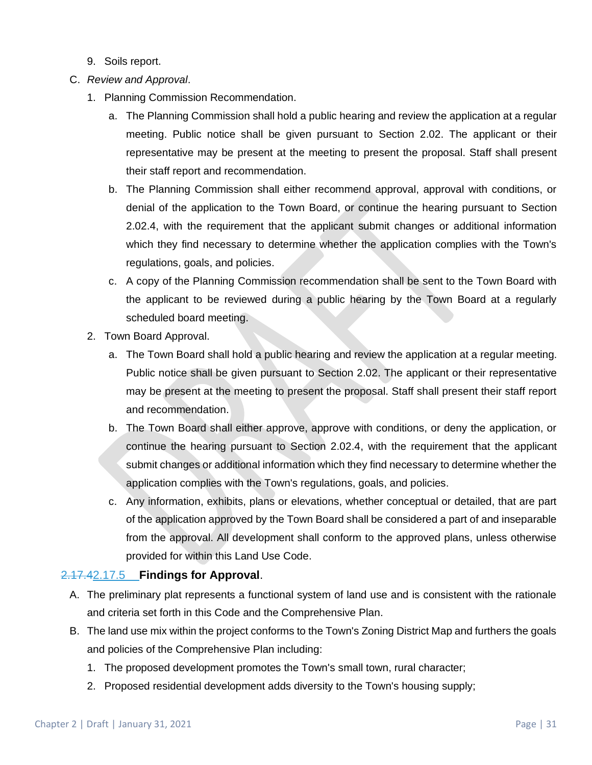- 9. Soils report.
- C. *Review and Approval*.
	- 1. Planning Commission Recommendation.
		- a. The Planning Commission shall hold a public hearing and review the application at a regular meeting. Public notice shall be given pursuant to Section 2.02. The applicant or their representative may be present at the meeting to present the proposal. Staff shall present their staff report and recommendation.
		- b. The Planning Commission shall either recommend approval, approval with conditions, or denial of the application to the Town Board, or continue the hearing pursuant to Section 2.02.4, with the requirement that the applicant submit changes or additional information which they find necessary to determine whether the application complies with the Town's regulations, goals, and policies.
		- c. A copy of the Planning Commission recommendation shall be sent to the Town Board with the applicant to be reviewed during a public hearing by the Town Board at a regularly scheduled board meeting.
	- 2. Town Board Approval.
		- a. The Town Board shall hold a public hearing and review the application at a regular meeting. Public notice shall be given pursuant to Section 2.02. The applicant or their representative may be present at the meeting to present the proposal. Staff shall present their staff report and recommendation.
		- b. The Town Board shall either approve, approve with conditions, or deny the application, or continue the hearing pursuant to Section 2.02.4, with the requirement that the applicant submit changes or additional information which they find necessary to determine whether the application complies with the Town's regulations, goals, and policies.
		- c. Any information, exhibits, plans or elevations, whether conceptual or detailed, that are part of the application approved by the Town Board shall be considered a part of and inseparable from the approval. All development shall conform to the approved plans, unless otherwise provided for within this Land Use Code.

#### 2.17.42.17.5 **Findings for Approval**.

- A. The preliminary plat represents a functional system of land use and is consistent with the rationale and criteria set forth in this Code and the Comprehensive Plan.
- B. The land use mix within the project conforms to the Town's Zoning District Map and furthers the goals and policies of the Comprehensive Plan including:
	- 1. The proposed development promotes the Town's small town, rural character;
	- 2. Proposed residential development adds diversity to the Town's housing supply;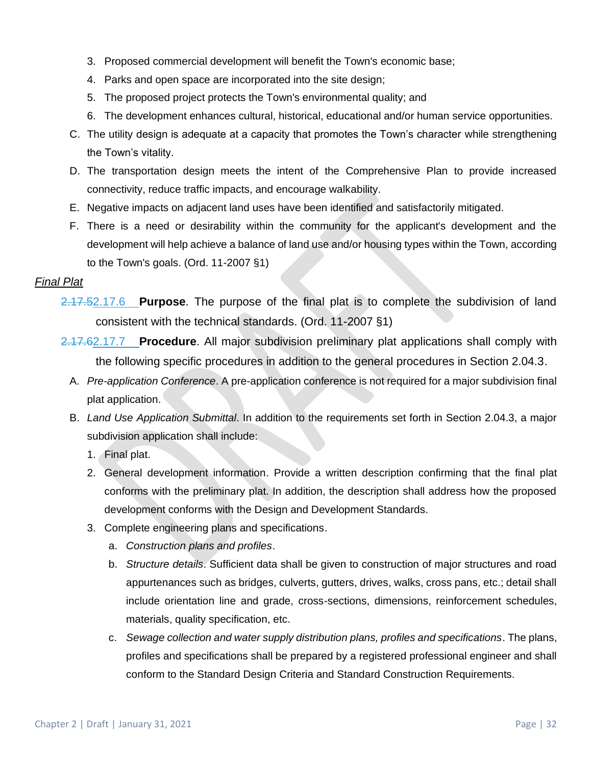- 3. Proposed commercial development will benefit the Town's economic base;
- 4. Parks and open space are incorporated into the site design;
- 5. The proposed project protects the Town's environmental quality; and
- 6. The development enhances cultural, historical, educational and/or human service opportunities.
- C. The utility design is adequate at a capacity that promotes the Town's character while strengthening the Town's vitality.
- D. The transportation design meets the intent of the Comprehensive Plan to provide increased connectivity, reduce traffic impacts, and encourage walkability.
- E. Negative impacts on adjacent land uses have been identified and satisfactorily mitigated.
- F. There is a need or desirability within the community for the applicant's development and the development will help achieve a balance of land use and/or housing types within the Town, according to the Town's goals. (Ord. 11-2007 §1)

#### *Final Plat*

- 2.17.52.17.6 **Purpose**. The purpose of the final plat is to complete the subdivision of land consistent with the technical standards. (Ord. 11-2007 §1)
- 2.17.62.17.7 **Procedure**. All major subdivision preliminary plat applications shall comply with the following specific procedures in addition to the general procedures in Section 2.04.3.
	- A. *Pre-application Conference*. A pre-application conference is not required for a major subdivision final plat application.
	- B. *Land Use Application Submittal*. In addition to the requirements set forth in Section 2.04.3, a major subdivision application shall include:
		- 1. Final plat.
		- 2. General development information. Provide a written description confirming that the final plat conforms with the preliminary plat. In addition, the description shall address how the proposed development conforms with the Design and Development Standards.
		- 3. Complete engineering plans and specifications.
			- a. *Construction plans and profiles*.
			- b. *Structure details*. Sufficient data shall be given to construction of major structures and road appurtenances such as bridges, culverts, gutters, drives, walks, cross pans, etc.; detail shall include orientation line and grade, cross-sections, dimensions, reinforcement schedules, materials, quality specification, etc.
			- c. *Sewage collection and water supply distribution plans, profiles and specifications*. The plans, profiles and specifications shall be prepared by a registered professional engineer and shall conform to the Standard Design Criteria and Standard Construction Requirements.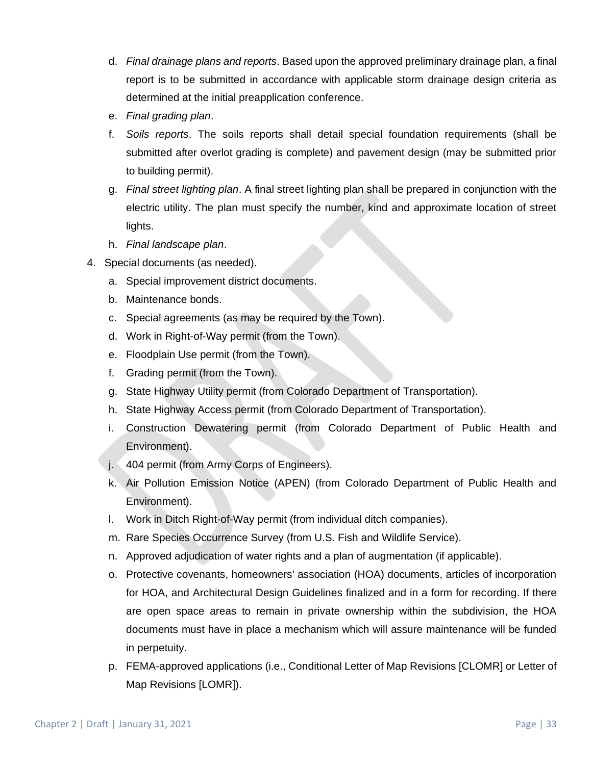- d. *Final drainage plans and reports*. Based upon the approved preliminary drainage plan, a final report is to be submitted in accordance with applicable storm drainage design criteria as determined at the initial preapplication conference.
- e. *Final grading plan*.
- f. *Soils reports*. The soils reports shall detail special foundation requirements (shall be submitted after overlot grading is complete) and pavement design (may be submitted prior to building permit).
- g. *Final street lighting plan*. A final street lighting plan shall be prepared in conjunction with the electric utility. The plan must specify the number, kind and approximate location of street lights.
- h. *Final landscape plan*.
- 4. Special documents (as needed).
	- a. Special improvement district documents.
	- b. Maintenance bonds.
	- c. Special agreements (as may be required by the Town).
	- d. Work in Right-of-Way permit (from the Town).
	- e. Floodplain Use permit (from the Town).
	- f. Grading permit (from the Town).
	- g. State Highway Utility permit (from Colorado Department of Transportation).
	- h. State Highway Access permit (from Colorado Department of Transportation).
	- i. Construction Dewatering permit (from Colorado Department of Public Health and Environment).
	- j. 404 permit (from Army Corps of Engineers).
	- k. Air Pollution Emission Notice (APEN) (from Colorado Department of Public Health and Environment).
	- l. Work in Ditch Right-of-Way permit (from individual ditch companies).
	- m. Rare Species Occurrence Survey (from U.S. Fish and Wildlife Service).
	- n. Approved adjudication of water rights and a plan of augmentation (if applicable).
	- o. Protective covenants, homeowners' association (HOA) documents, articles of incorporation for HOA, and Architectural Design Guidelines finalized and in a form for recording. If there are open space areas to remain in private ownership within the subdivision, the HOA documents must have in place a mechanism which will assure maintenance will be funded in perpetuity.
	- p. FEMA-approved applications (i.e., Conditional Letter of Map Revisions [CLOMR] or Letter of Map Revisions [LOMR]).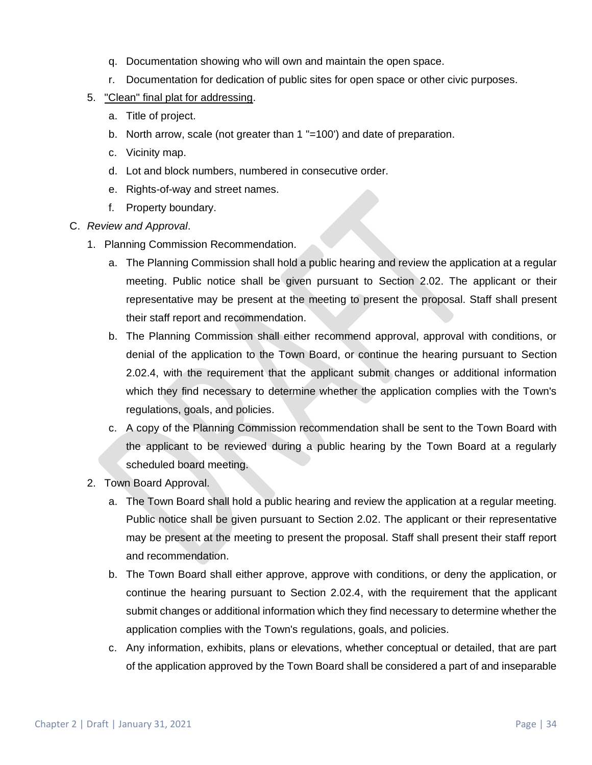- q. Documentation showing who will own and maintain the open space.
- r. Documentation for dedication of public sites for open space or other civic purposes.
- 5. "Clean" final plat for addressing.
	- a. Title of project.
	- b. North arrow, scale (not greater than 1 "=100') and date of preparation.
	- c. Vicinity map.
	- d. Lot and block numbers, numbered in consecutive order.
	- e. Rights-of-way and street names.
	- f. Property boundary.
- C. *Review and Approval*.
	- 1. Planning Commission Recommendation.
		- a. The Planning Commission shall hold a public hearing and review the application at a regular meeting. Public notice shall be given pursuant to Section 2.02. The applicant or their representative may be present at the meeting to present the proposal. Staff shall present their staff report and recommendation.
		- b. The Planning Commission shall either recommend approval, approval with conditions, or denial of the application to the Town Board, or continue the hearing pursuant to Section 2.02.4, with the requirement that the applicant submit changes or additional information which they find necessary to determine whether the application complies with the Town's regulations, goals, and policies.
		- c. A copy of the Planning Commission recommendation shall be sent to the Town Board with the applicant to be reviewed during a public hearing by the Town Board at a regularly scheduled board meeting.
	- 2. Town Board Approval.
		- a. The Town Board shall hold a public hearing and review the application at a regular meeting. Public notice shall be given pursuant to Section 2.02. The applicant or their representative may be present at the meeting to present the proposal. Staff shall present their staff report and recommendation.
		- b. The Town Board shall either approve, approve with conditions, or deny the application, or continue the hearing pursuant to Section 2.02.4, with the requirement that the applicant submit changes or additional information which they find necessary to determine whether the application complies with the Town's regulations, goals, and policies.
		- c. Any information, exhibits, plans or elevations, whether conceptual or detailed, that are part of the application approved by the Town Board shall be considered a part of and inseparable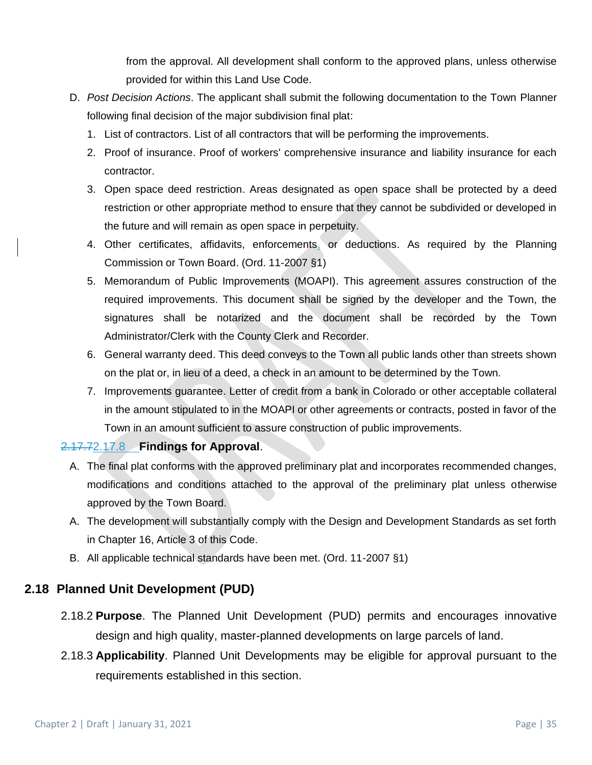from the approval. All development shall conform to the approved plans, unless otherwise provided for within this Land Use Code.

- D. *Post Decision Actions*. The applicant shall submit the following documentation to the Town Planner following final decision of the major subdivision final plat:
	- 1. List of contractors. List of all contractors that will be performing the improvements.
	- 2. Proof of insurance. Proof of workers' comprehensive insurance and liability insurance for each contractor.
	- 3. Open space deed restriction. Areas designated as open space shall be protected by a deed restriction or other appropriate method to ensure that they cannot be subdivided or developed in the future and will remain as open space in perpetuity.
	- 4. Other certificates, affidavits, enforcements, or deductions. As required by the Planning Commission or Town Board. (Ord. 11-2007 §1)
	- 5. Memorandum of Public Improvements (MOAPI). This agreement assures construction of the required improvements. This document shall be signed by the developer and the Town, the signatures shall be notarized and the document shall be recorded by the Town Administrator/Clerk with the County Clerk and Recorder.
	- 6. General warranty deed. This deed conveys to the Town all public lands other than streets shown on the plat or, in lieu of a deed, a check in an amount to be determined by the Town.
	- 7. Improvements guarantee. Letter of credit from a bank in Colorado or other acceptable collateral in the amount stipulated to in the MOAPI or other agreements or contracts, posted in favor of the Town in an amount sufficient to assure construction of public improvements.

## 2.17.72.17.8 **Findings for Approval**.

- A. The final plat conforms with the approved preliminary plat and incorporates recommended changes, modifications and conditions attached to the approval of the preliminary plat unless otherwise approved by the Town Board.
- A. The development will substantially comply with the Design and Development Standards as set forth in Chapter 16, Article 3 of this Code.
- B. All applicable technical standards have been met. (Ord. 11-2007 §1)

## **2.18 Planned Unit Development (PUD)**

- 2.18.2 **Purpose**. The Planned Unit Development (PUD) permits and encourages innovative design and high quality, master-planned developments on large parcels of land.
- 2.18.3 **Applicability**. Planned Unit Developments may be eligible for approval pursuant to the requirements established in this section.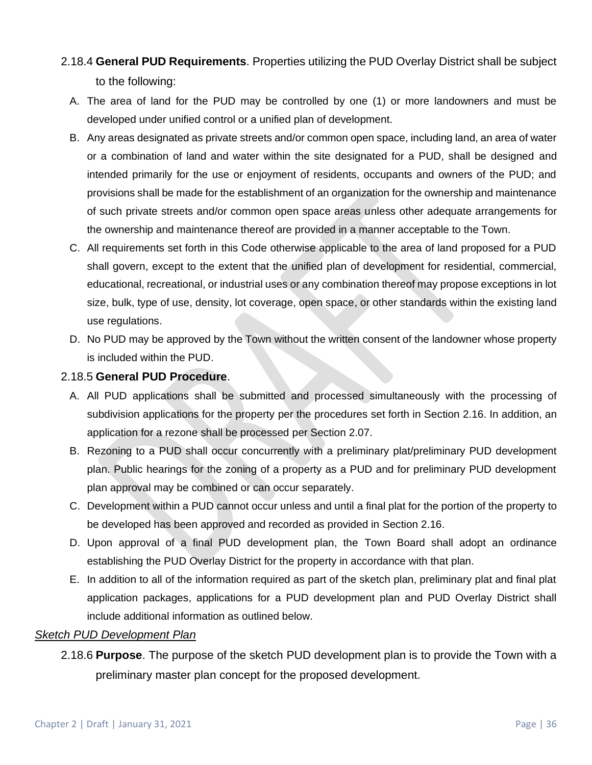- 2.18.4 **General PUD Requirements**. Properties utilizing the PUD Overlay District shall be subject to the following:
	- A. The area of land for the PUD may be controlled by one (1) or more landowners and must be developed under unified control or a unified plan of development.
	- B. Any areas designated as private streets and/or common open space, including land, an area of water or a combination of land and water within the site designated for a PUD, shall be designed and intended primarily for the use or enjoyment of residents, occupants and owners of the PUD; and provisions shall be made for the establishment of an organization for the ownership and maintenance of such private streets and/or common open space areas unless other adequate arrangements for the ownership and maintenance thereof are provided in a manner acceptable to the Town.
	- C. All requirements set forth in this Code otherwise applicable to the area of land proposed for a PUD shall govern, except to the extent that the unified plan of development for residential, commercial, educational, recreational, or industrial uses or any combination thereof may propose exceptions in lot size, bulk, type of use, density, lot coverage, open space, or other standards within the existing land use regulations.
	- D. No PUD may be approved by the Town without the written consent of the landowner whose property is included within the PUD.

## 2.18.5 **General PUD Procedure**.

- A. All PUD applications shall be submitted and processed simultaneously with the processing of subdivision applications for the property per the procedures set forth in Section 2.16. In addition, an application for a rezone shall be processed per Section 2.07.
- B. Rezoning to a PUD shall occur concurrently with a preliminary plat/preliminary PUD development plan. Public hearings for the zoning of a property as a PUD and for preliminary PUD development plan approval may be combined or can occur separately.
- C. Development within a PUD cannot occur unless and until a final plat for the portion of the property to be developed has been approved and recorded as provided in Section 2.16.
- D. Upon approval of a final PUD development plan, the Town Board shall adopt an ordinance establishing the PUD Overlay District for the property in accordance with that plan.
- E. In addition to all of the information required as part of the sketch plan, preliminary plat and final plat application packages, applications for a PUD development plan and PUD Overlay District shall include additional information as outlined below.

#### *Sketch PUD Development Plan*

2.18.6 **Purpose**. The purpose of the sketch PUD development plan is to provide the Town with a preliminary master plan concept for the proposed development.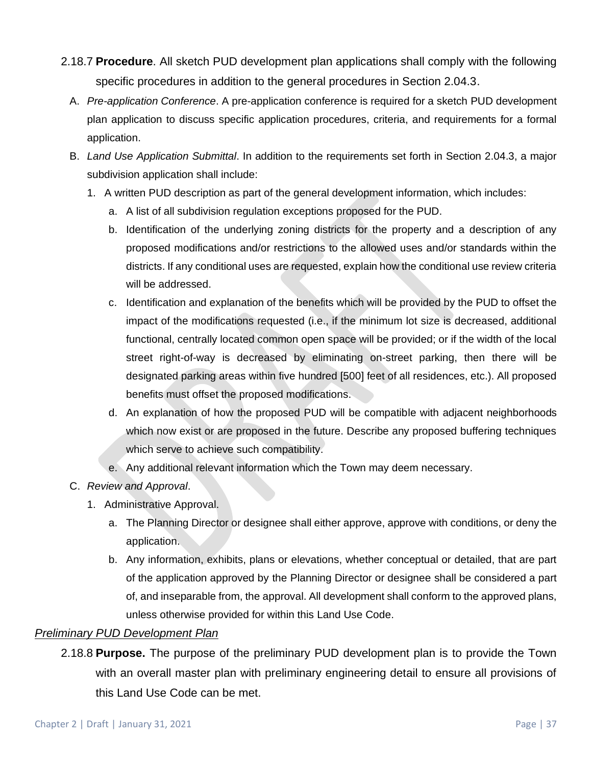- 2.18.7 **Procedure**. All sketch PUD development plan applications shall comply with the following specific procedures in addition to the general procedures in Section 2.04.3.
	- A. *Pre-application Conference*. A pre-application conference is required for a sketch PUD development plan application to discuss specific application procedures, criteria, and requirements for a formal application.
	- B. *Land Use Application Submittal*. In addition to the requirements set forth in Section 2.04.3, a major subdivision application shall include:
		- 1. A written PUD description as part of the general development information, which includes:
			- a. A list of all subdivision regulation exceptions proposed for the PUD.
			- b. Identification of the underlying zoning districts for the property and a description of any proposed modifications and/or restrictions to the allowed uses and/or standards within the districts. If any conditional uses are requested, explain how the conditional use review criteria will be addressed.
			- c. Identification and explanation of the benefits which will be provided by the PUD to offset the impact of the modifications requested (i.e., if the minimum lot size is decreased, additional functional, centrally located common open space will be provided; or if the width of the local street right-of-way is decreased by eliminating on-street parking, then there will be designated parking areas within five hundred [500] feet of all residences, etc.). All proposed benefits must offset the proposed modifications.
			- d. An explanation of how the proposed PUD will be compatible with adjacent neighborhoods which now exist or are proposed in the future. Describe any proposed buffering techniques which serve to achieve such compatibility.
			- e. Any additional relevant information which the Town may deem necessary.
	- C. *Review and Approval*.
		- 1. Administrative Approval.
			- a. The Planning Director or designee shall either approve, approve with conditions, or deny the application.
			- b. Any information, exhibits, plans or elevations, whether conceptual or detailed, that are part of the application approved by the Planning Director or designee shall be considered a part of, and inseparable from, the approval. All development shall conform to the approved plans, unless otherwise provided for within this Land Use Code.

## *Preliminary PUD Development Plan*

2.18.8 **Purpose.** The purpose of the preliminary PUD development plan is to provide the Town with an overall master plan with preliminary engineering detail to ensure all provisions of this Land Use Code can be met.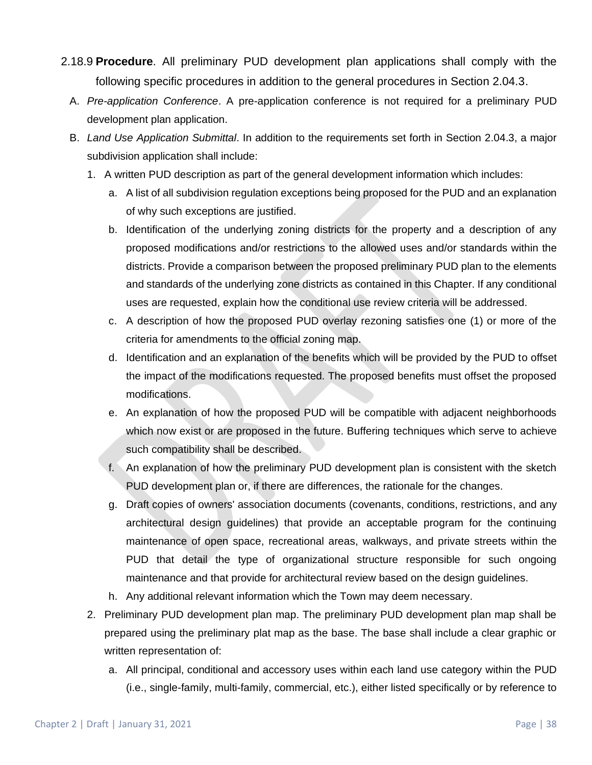- 2.18.9 **Procedure**. All preliminary PUD development plan applications shall comply with the following specific procedures in addition to the general procedures in Section 2.04.3.
	- A. *Pre-application Conference*. A pre-application conference is not required for a preliminary PUD development plan application.
	- B. *Land Use Application Submittal*. In addition to the requirements set forth in Section 2.04.3, a major subdivision application shall include:
		- 1. A written PUD description as part of the general development information which includes:
			- a. A list of all subdivision regulation exceptions being proposed for the PUD and an explanation of why such exceptions are justified.
			- b. Identification of the underlying zoning districts for the property and a description of any proposed modifications and/or restrictions to the allowed uses and/or standards within the districts. Provide a comparison between the proposed preliminary PUD plan to the elements and standards of the underlying zone districts as contained in this Chapter. If any conditional uses are requested, explain how the conditional use review criteria will be addressed.
			- c. A description of how the proposed PUD overlay rezoning satisfies one (1) or more of the criteria for amendments to the official zoning map.
			- d. Identification and an explanation of the benefits which will be provided by the PUD to offset the impact of the modifications requested. The proposed benefits must offset the proposed modifications.
			- e. An explanation of how the proposed PUD will be compatible with adjacent neighborhoods which now exist or are proposed in the future. Buffering techniques which serve to achieve such compatibility shall be described.
			- f. An explanation of how the preliminary PUD development plan is consistent with the sketch PUD development plan or, if there are differences, the rationale for the changes.
			- g. Draft copies of owners' association documents (covenants, conditions, restrictions, and any architectural design guidelines) that provide an acceptable program for the continuing maintenance of open space, recreational areas, walkways, and private streets within the PUD that detail the type of organizational structure responsible for such ongoing maintenance and that provide for architectural review based on the design guidelines.
			- h. Any additional relevant information which the Town may deem necessary.
		- 2. Preliminary PUD development plan map. The preliminary PUD development plan map shall be prepared using the preliminary plat map as the base. The base shall include a clear graphic or written representation of:
			- a. All principal, conditional and accessory uses within each land use category within the PUD (i.e., single-family, multi-family, commercial, etc.), either listed specifically or by reference to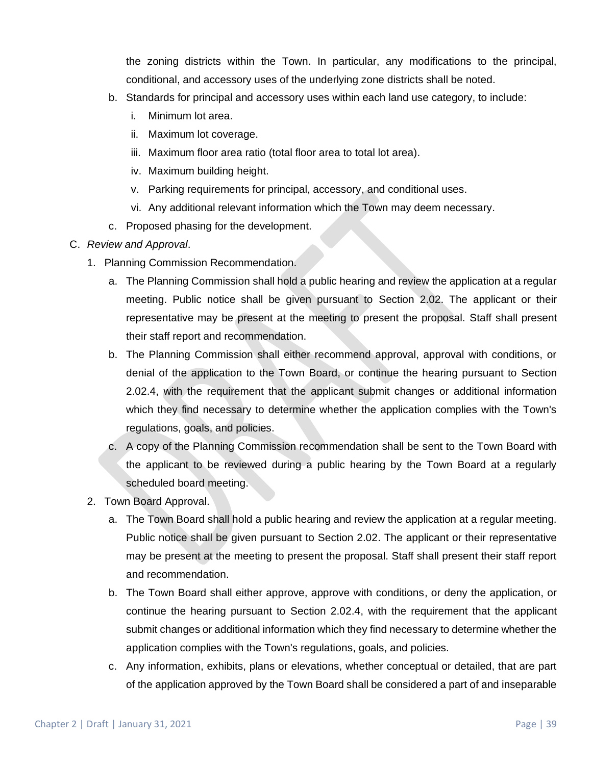the zoning districts within the Town. In particular, any modifications to the principal, conditional, and accessory uses of the underlying zone districts shall be noted.

- b. Standards for principal and accessory uses within each land use category, to include:
	- i. Minimum lot area.
	- ii. Maximum lot coverage.
	- iii. Maximum floor area ratio (total floor area to total lot area).
	- iv. Maximum building height.
	- v. Parking requirements for principal, accessory, and conditional uses.
	- vi. Any additional relevant information which the Town may deem necessary.
- c. Proposed phasing for the development.

#### C. *Review and Approval*.

- 1. Planning Commission Recommendation.
	- a. The Planning Commission shall hold a public hearing and review the application at a regular meeting. Public notice shall be given pursuant to Section 2.02. The applicant or their representative may be present at the meeting to present the proposal. Staff shall present their staff report and recommendation.
	- b. The Planning Commission shall either recommend approval, approval with conditions, or denial of the application to the Town Board, or continue the hearing pursuant to Section 2.02.4, with the requirement that the applicant submit changes or additional information which they find necessary to determine whether the application complies with the Town's regulations, goals, and policies.
	- c. A copy of the Planning Commission recommendation shall be sent to the Town Board with the applicant to be reviewed during a public hearing by the Town Board at a regularly scheduled board meeting.
- 2. Town Board Approval.
	- a. The Town Board shall hold a public hearing and review the application at a regular meeting. Public notice shall be given pursuant to Section 2.02. The applicant or their representative may be present at the meeting to present the proposal. Staff shall present their staff report and recommendation.
	- b. The Town Board shall either approve, approve with conditions, or deny the application, or continue the hearing pursuant to Section 2.02.4, with the requirement that the applicant submit changes or additional information which they find necessary to determine whether the application complies with the Town's regulations, goals, and policies.
	- c. Any information, exhibits, plans or elevations, whether conceptual or detailed, that are part of the application approved by the Town Board shall be considered a part of and inseparable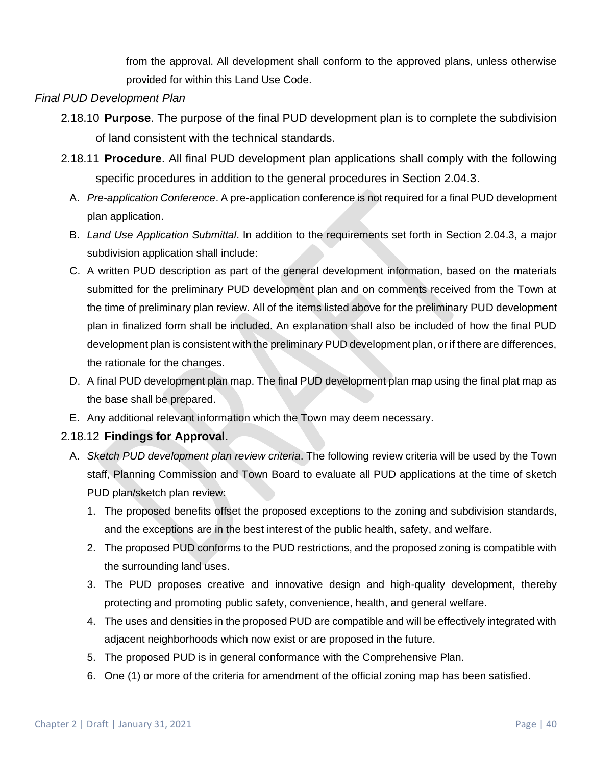from the approval. All development shall conform to the approved plans, unless otherwise provided for within this Land Use Code.

### *Final PUD Development Plan*

- 2.18.10 **Purpose**. The purpose of the final PUD development plan is to complete the subdivision of land consistent with the technical standards.
- 2.18.11 **Procedure**. All final PUD development plan applications shall comply with the following specific procedures in addition to the general procedures in Section 2.04.3.
	- A. *Pre-application Conference*. A pre-application conference is not required for a final PUD development plan application.
	- B. *Land Use Application Submittal*. In addition to the requirements set forth in Section 2.04.3, a major subdivision application shall include:
	- C. A written PUD description as part of the general development information, based on the materials submitted for the preliminary PUD development plan and on comments received from the Town at the time of preliminary plan review. All of the items listed above for the preliminary PUD development plan in finalized form shall be included. An explanation shall also be included of how the final PUD development plan is consistent with the preliminary PUD development plan, or if there are differences, the rationale for the changes.
	- D. A final PUD development plan map. The final PUD development plan map using the final plat map as the base shall be prepared.
	- E. Any additional relevant information which the Town may deem necessary.

## 2.18.12 **Findings for Approval**.

- A. *Sketch PUD development plan review criteria*. The following review criteria will be used by the Town staff, Planning Commission and Town Board to evaluate all PUD applications at the time of sketch PUD plan/sketch plan review:
	- 1. The proposed benefits offset the proposed exceptions to the zoning and subdivision standards, and the exceptions are in the best interest of the public health, safety, and welfare.
	- 2. The proposed PUD conforms to the PUD restrictions, and the proposed zoning is compatible with the surrounding land uses.
	- 3. The PUD proposes creative and innovative design and high-quality development, thereby protecting and promoting public safety, convenience, health, and general welfare.
	- 4. The uses and densities in the proposed PUD are compatible and will be effectively integrated with adjacent neighborhoods which now exist or are proposed in the future.
	- 5. The proposed PUD is in general conformance with the Comprehensive Plan.
	- 6. One (1) or more of the criteria for amendment of the official zoning map has been satisfied.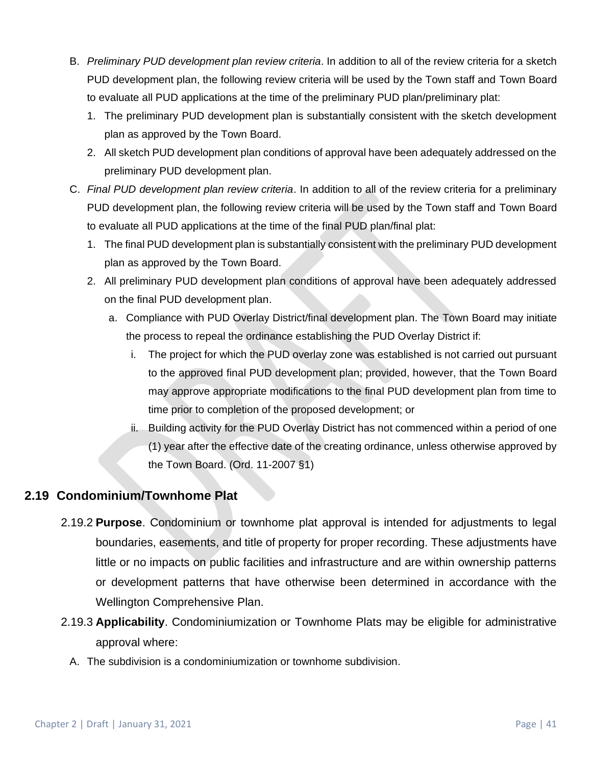- B. *Preliminary PUD development plan review criteria*. In addition to all of the review criteria for a sketch PUD development plan, the following review criteria will be used by the Town staff and Town Board to evaluate all PUD applications at the time of the preliminary PUD plan/preliminary plat:
	- 1. The preliminary PUD development plan is substantially consistent with the sketch development plan as approved by the Town Board.
	- 2. All sketch PUD development plan conditions of approval have been adequately addressed on the preliminary PUD development plan.
- C. *Final PUD development plan review criteria*. In addition to all of the review criteria for a preliminary PUD development plan, the following review criteria will be used by the Town staff and Town Board to evaluate all PUD applications at the time of the final PUD plan/final plat:
	- 1. The final PUD development plan is substantially consistent with the preliminary PUD development plan as approved by the Town Board.
	- 2. All preliminary PUD development plan conditions of approval have been adequately addressed on the final PUD development plan.
		- a. Compliance with PUD Overlay District/final development plan. The Town Board may initiate the process to repeal the ordinance establishing the PUD Overlay District if:
			- i. The project for which the PUD overlay zone was established is not carried out pursuant to the approved final PUD development plan; provided, however, that the Town Board may approve appropriate modifications to the final PUD development plan from time to time prior to completion of the proposed development; or
			- ii. Building activity for the PUD Overlay District has not commenced within a period of one (1) year after the effective date of the creating ordinance, unless otherwise approved by the Town Board. (Ord. 11-2007 §1)

## **2.19 Condominium/Townhome Plat**

- 2.19.2 **Purpose**. Condominium or townhome plat approval is intended for adjustments to legal boundaries, easements, and title of property for proper recording. These adjustments have little or no impacts on public facilities and infrastructure and are within ownership patterns or development patterns that have otherwise been determined in accordance with the Wellington Comprehensive Plan.
- 2.19.3 **Applicability**. Condominiumization or Townhome Plats may be eligible for administrative approval where:
	- A. The subdivision is a condominiumization or townhome subdivision.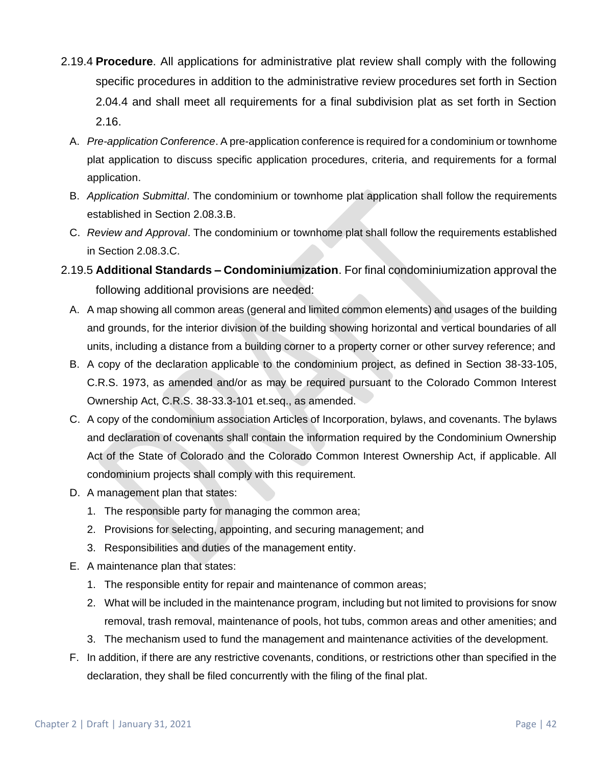- 2.19.4 **Procedure**. All applications for administrative plat review shall comply with the following specific procedures in addition to the administrative review procedures set forth in Section 2.04.4 and shall meet all requirements for a final subdivision plat as set forth in Section 2.16.
	- A. *Pre-application Conference*. A pre-application conference is required for a condominium or townhome plat application to discuss specific application procedures, criteria, and requirements for a formal application.
	- B. *Application Submittal*. The condominium or townhome plat application shall follow the requirements established in Section 2.08.3.B.
	- C. *Review and Approval*. The condominium or townhome plat shall follow the requirements established in Section 2.08.3.C.
- 2.19.5 **Additional Standards – Condominiumization**. For final condominiumization approval the following additional provisions are needed:
	- A. A map showing all common areas (general and limited common elements) and usages of the building and grounds, for the interior division of the building showing horizontal and vertical boundaries of all units, including a distance from a building corner to a property corner or other survey reference; and
	- B. A copy of the declaration applicable to the condominium project, as defined in Section 38-33-105, C.R.S. 1973, as amended and/or as may be required pursuant to the Colorado Common Interest Ownership Act, C.R.S. 38-33.3-101 et.seq., as amended.
	- C. A copy of the condominium association Articles of Incorporation, bylaws, and covenants. The bylaws and declaration of covenants shall contain the information required by the Condominium Ownership Act of the State of Colorado and the Colorado Common Interest Ownership Act, if applicable. All condominium projects shall comply with this requirement.
	- D. A management plan that states:
		- 1. The responsible party for managing the common area;
		- 2. Provisions for selecting, appointing, and securing management; and
		- 3. Responsibilities and duties of the management entity.
	- E. A maintenance plan that states:
		- 1. The responsible entity for repair and maintenance of common areas;
		- 2. What will be included in the maintenance program, including but not limited to provisions for snow removal, trash removal, maintenance of pools, hot tubs, common areas and other amenities; and
		- 3. The mechanism used to fund the management and maintenance activities of the development.
	- F. In addition, if there are any restrictive covenants, conditions, or restrictions other than specified in the declaration, they shall be filed concurrently with the filing of the final plat.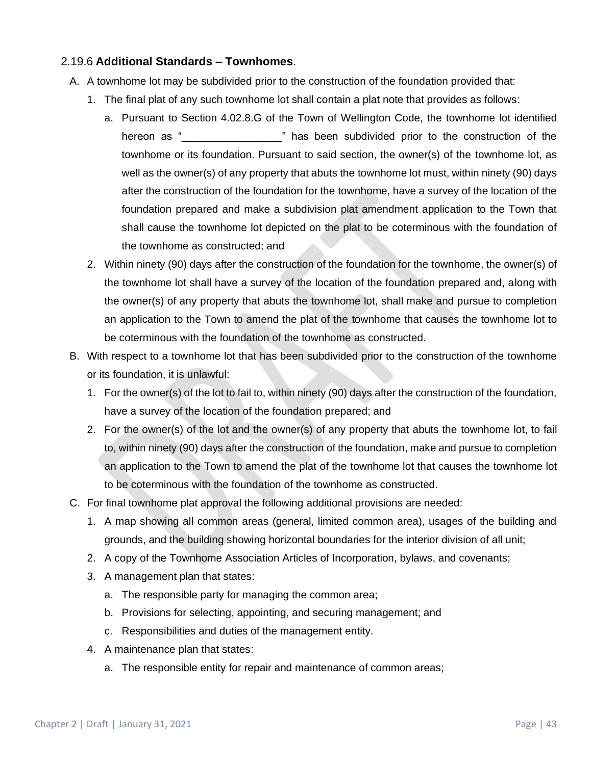## 2.19.6 **Additional Standards – Townhomes**.

- A. A townhome lot may be subdivided prior to the construction of the foundation provided that:
	- 1. The final plat of any such townhome lot shall contain a plat note that provides as follows:
		- a. Pursuant to Section 4.02.8.G of the Town of Wellington Code, the townhome lot identified hereon as " \_\_\_\_\_\_\_\_\_\_\_\_\_\_\_\_" has been subdivided prior to the construction of the townhome or its foundation. Pursuant to said section, the owner(s) of the townhome lot, as well as the owner(s) of any property that abuts the townhome lot must, within ninety (90) days after the construction of the foundation for the townhome, have a survey of the location of the foundation prepared and make a subdivision plat amendment application to the Town that shall cause the townhome lot depicted on the plat to be coterminous with the foundation of the townhome as constructed; and
	- 2. Within ninety (90) days after the construction of the foundation for the townhome, the owner(s) of the townhome lot shall have a survey of the location of the foundation prepared and, along with the owner(s) of any property that abuts the townhome lot, shall make and pursue to completion an application to the Town to amend the plat of the townhome that causes the townhome lot to be coterminous with the foundation of the townhome as constructed.
- B. With respect to a townhome lot that has been subdivided prior to the construction of the townhome or its foundation, it is unlawful:
	- 1. For the owner(s) of the lot to fail to, within ninety (90) days after the construction of the foundation, have a survey of the location of the foundation prepared; and
	- 2. For the owner(s) of the lot and the owner(s) of any property that abuts the townhome lot, to fail to, within ninety (90) days after the construction of the foundation, make and pursue to completion an application to the Town to amend the plat of the townhome lot that causes the townhome lot to be coterminous with the foundation of the townhome as constructed.
- C. For final townhome plat approval the following additional provisions are needed:
	- 1. A map showing all common areas (general, limited common area), usages of the building and grounds, and the building showing horizontal boundaries for the interior division of all unit;
	- 2. A copy of the Townhome Association Articles of Incorporation, bylaws, and covenants;
	- 3. A management plan that states:
		- a. The responsible party for managing the common area;
		- b. Provisions for selecting, appointing, and securing management; and
		- c. Responsibilities and duties of the management entity.
	- 4. A maintenance plan that states:
		- a. The responsible entity for repair and maintenance of common areas;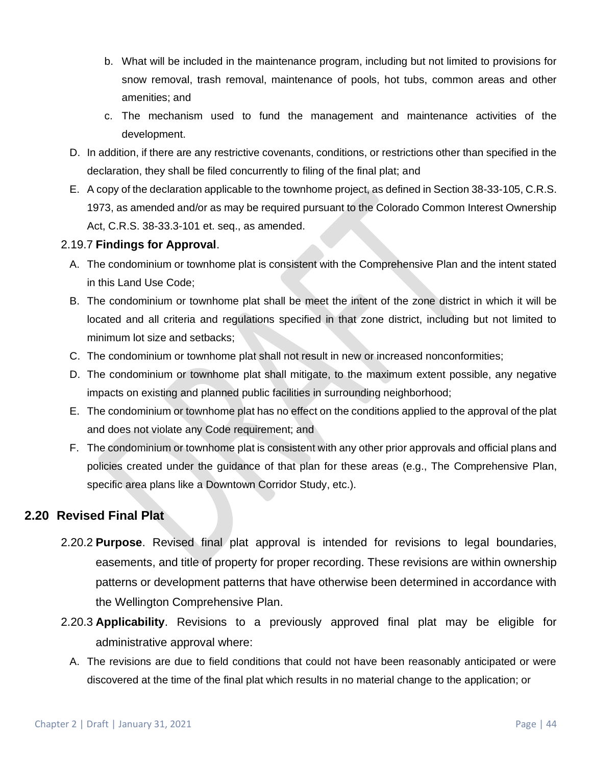- b. What will be included in the maintenance program, including but not limited to provisions for snow removal, trash removal, maintenance of pools, hot tubs, common areas and other amenities; and
- c. The mechanism used to fund the management and maintenance activities of the development.
- D. In addition, if there are any restrictive covenants, conditions, or restrictions other than specified in the declaration, they shall be filed concurrently to filing of the final plat; and
- E. A copy of the declaration applicable to the townhome project, as defined in Section 38-33-105, C.R.S. 1973, as amended and/or as may be required pursuant to the Colorado Common Interest Ownership Act, C.R.S. 38-33.3-101 et. seq., as amended.

## 2.19.7 **Findings for Approval**.

- A. The condominium or townhome plat is consistent with the Comprehensive Plan and the intent stated in this Land Use Code;
- B. The condominium or townhome plat shall be meet the intent of the zone district in which it will be located and all criteria and regulations specified in that zone district, including but not limited to minimum lot size and setbacks;
- C. The condominium or townhome plat shall not result in new or increased nonconformities;
- D. The condominium or townhome plat shall mitigate, to the maximum extent possible, any negative impacts on existing and planned public facilities in surrounding neighborhood;
- E. The condominium or townhome plat has no effect on the conditions applied to the approval of the plat and does not violate any Code requirement; and
- F. The condominium or townhome plat is consistent with any other prior approvals and official plans and policies created under the guidance of that plan for these areas (e.g., The Comprehensive Plan, specific area plans like a Downtown Corridor Study, etc.).

## **2.20 Revised Final Plat**

- 2.20.2 **Purpose**. Revised final plat approval is intended for revisions to legal boundaries, easements, and title of property for proper recording. These revisions are within ownership patterns or development patterns that have otherwise been determined in accordance with the Wellington Comprehensive Plan.
- 2.20.3 **Applicability**. Revisions to a previously approved final plat may be eligible for administrative approval where:
	- A. The revisions are due to field conditions that could not have been reasonably anticipated or were discovered at the time of the final plat which results in no material change to the application; or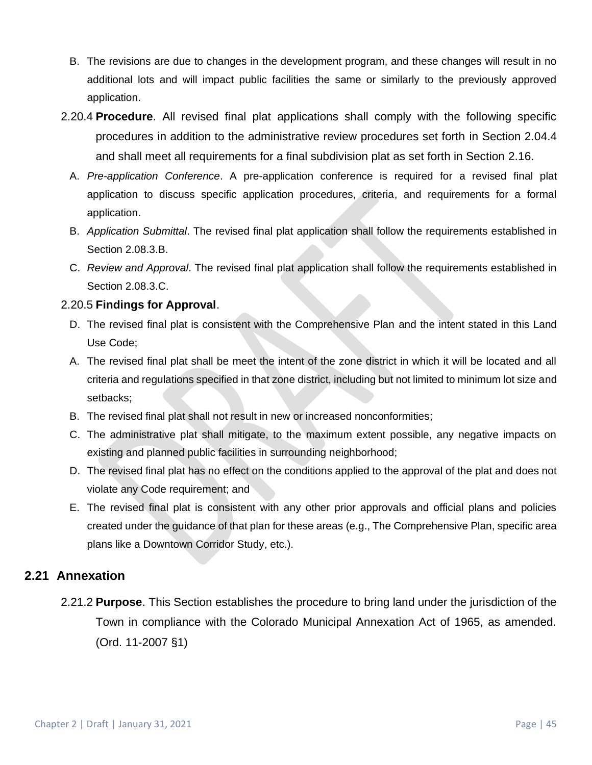- B. The revisions are due to changes in the development program, and these changes will result in no additional lots and will impact public facilities the same or similarly to the previously approved application.
- 2.20.4 **Procedure**. All revised final plat applications shall comply with the following specific procedures in addition to the administrative review procedures set forth in Section 2.04.4 and shall meet all requirements for a final subdivision plat as set forth in Section 2.16.
	- A. *Pre-application Conference*. A pre-application conference is required for a revised final plat application to discuss specific application procedures, criteria, and requirements for a formal application.
	- B. *Application Submittal*. The revised final plat application shall follow the requirements established in Section 2.08.3.B.
	- C. *Review and Approval*. The revised final plat application shall follow the requirements established in Section 2.08.3.C.

## 2.20.5 **Findings for Approval**.

- D. The revised final plat is consistent with the Comprehensive Plan and the intent stated in this Land Use Code;
- A. The revised final plat shall be meet the intent of the zone district in which it will be located and all criteria and regulations specified in that zone district, including but not limited to minimum lot size and setbacks;
- B. The revised final plat shall not result in new or increased nonconformities;
- C. The administrative plat shall mitigate, to the maximum extent possible, any negative impacts on existing and planned public facilities in surrounding neighborhood;
- D. The revised final plat has no effect on the conditions applied to the approval of the plat and does not violate any Code requirement; and
- E. The revised final plat is consistent with any other prior approvals and official plans and policies created under the guidance of that plan for these areas (e.g., The Comprehensive Plan, specific area plans like a Downtown Corridor Study, etc.).

## **2.21 Annexation**

2.21.2 **Purpose**. This Section establishes the procedure to bring land under the jurisdiction of the Town in compliance with the Colorado Municipal Annexation Act of 1965, as amended. (Ord. 11-2007 §1)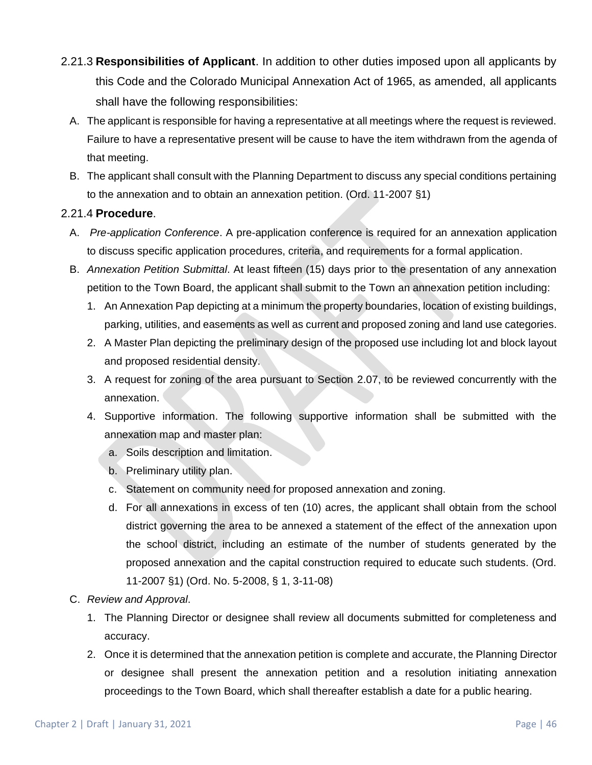- 2.21.3 **Responsibilities of Applicant**. In addition to other duties imposed upon all applicants by this Code and the Colorado Municipal Annexation Act of 1965, as amended, all applicants shall have the following responsibilities:
	- A. The applicant is responsible for having a representative at all meetings where the request is reviewed. Failure to have a representative present will be cause to have the item withdrawn from the agenda of that meeting.
	- B. The applicant shall consult with the Planning Department to discuss any special conditions pertaining to the annexation and to obtain an annexation petition. (Ord. 11-2007 §1)

## 2.21.4 **Procedure**.

- A. *Pre-application Conference*. A pre-application conference is required for an annexation application to discuss specific application procedures, criteria, and requirements for a formal application.
- B. *Annexation Petition Submittal*. At least fifteen (15) days prior to the presentation of any annexation petition to the Town Board, the applicant shall submit to the Town an annexation petition including:
	- 1. An Annexation Pap depicting at a minimum the property boundaries, location of existing buildings, parking, utilities, and easements as well as current and proposed zoning and land use categories.
	- 2. A Master Plan depicting the preliminary design of the proposed use including lot and block layout and proposed residential density.
	- 3. A request for zoning of the area pursuant to Section 2.07, to be reviewed concurrently with the annexation.
	- 4. Supportive information. The following supportive information shall be submitted with the annexation map and master plan:
		- a. Soils description and limitation.
		- b. Preliminary utility plan.
		- c. Statement on community need for proposed annexation and zoning.
		- d. For all annexations in excess of ten (10) acres, the applicant shall obtain from the school district governing the area to be annexed a statement of the effect of the annexation upon the school district, including an estimate of the number of students generated by the proposed annexation and the capital construction required to educate such students. (Ord. 11-2007 §1) (Ord. No. 5-2008, § 1, 3-11-08)
- C. *Review and Approval*.
	- 1. The Planning Director or designee shall review all documents submitted for completeness and accuracy.
	- 2. Once it is determined that the annexation petition is complete and accurate, the Planning Director or designee shall present the annexation petition and a resolution initiating annexation proceedings to the Town Board, which shall thereafter establish a date for a public hearing.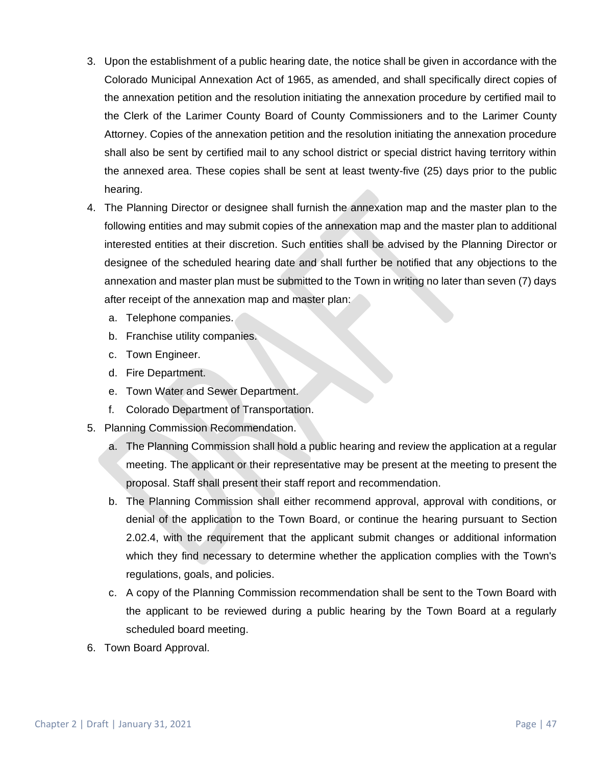- 3. Upon the establishment of a public hearing date, the notice shall be given in accordance with the Colorado Municipal Annexation Act of 1965, as amended, and shall specifically direct copies of the annexation petition and the resolution initiating the annexation procedure by certified mail to the Clerk of the Larimer County Board of County Commissioners and to the Larimer County Attorney. Copies of the annexation petition and the resolution initiating the annexation procedure shall also be sent by certified mail to any school district or special district having territory within the annexed area. These copies shall be sent at least twenty-five (25) days prior to the public hearing.
- 4. The Planning Director or designee shall furnish the annexation map and the master plan to the following entities and may submit copies of the annexation map and the master plan to additional interested entities at their discretion. Such entities shall be advised by the Planning Director or designee of the scheduled hearing date and shall further be notified that any objections to the annexation and master plan must be submitted to the Town in writing no later than seven (7) days after receipt of the annexation map and master plan:
	- a. Telephone companies.
	- b. Franchise utility companies.
	- c. Town Engineer.
	- d. Fire Department.
	- e. Town Water and Sewer Department.
	- f. Colorado Department of Transportation.
- 5. Planning Commission Recommendation.
	- a. The Planning Commission shall hold a public hearing and review the application at a regular meeting. The applicant or their representative may be present at the meeting to present the proposal. Staff shall present their staff report and recommendation.
	- b. The Planning Commission shall either recommend approval, approval with conditions, or denial of the application to the Town Board, or continue the hearing pursuant to Section 2.02.4, with the requirement that the applicant submit changes or additional information which they find necessary to determine whether the application complies with the Town's regulations, goals, and policies.
	- c. A copy of the Planning Commission recommendation shall be sent to the Town Board with the applicant to be reviewed during a public hearing by the Town Board at a regularly scheduled board meeting.
- 6. Town Board Approval.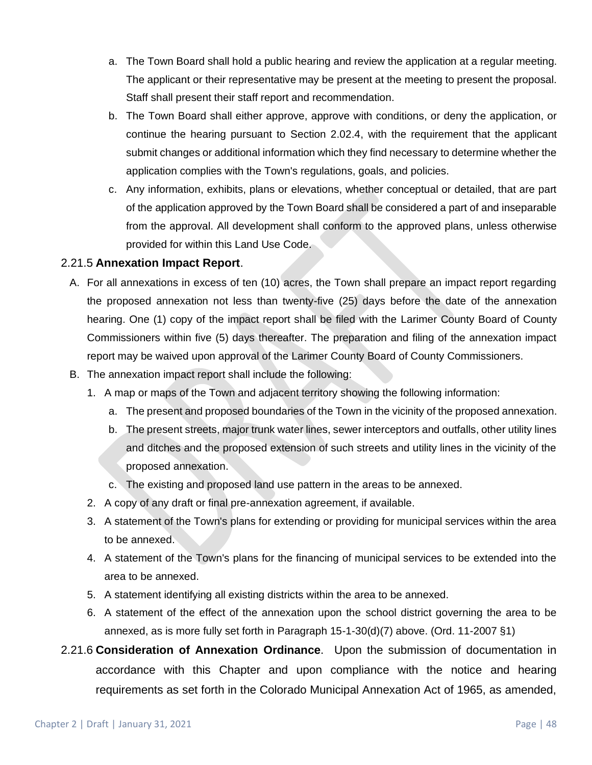- a. The Town Board shall hold a public hearing and review the application at a regular meeting. The applicant or their representative may be present at the meeting to present the proposal. Staff shall present their staff report and recommendation.
- b. The Town Board shall either approve, approve with conditions, or deny the application, or continue the hearing pursuant to Section 2.02.4, with the requirement that the applicant submit changes or additional information which they find necessary to determine whether the application complies with the Town's regulations, goals, and policies.
- c. Any information, exhibits, plans or elevations, whether conceptual or detailed, that are part of the application approved by the Town Board shall be considered a part of and inseparable from the approval. All development shall conform to the approved plans, unless otherwise provided for within this Land Use Code.

## 2.21.5 **Annexation Impact Report**.

- A. For all annexations in excess of ten (10) acres, the Town shall prepare an impact report regarding the proposed annexation not less than twenty-five (25) days before the date of the annexation hearing. One (1) copy of the impact report shall be filed with the Larimer County Board of County Commissioners within five (5) days thereafter. The preparation and filing of the annexation impact report may be waived upon approval of the Larimer County Board of County Commissioners.
- B. The annexation impact report shall include the following:
	- 1. A map or maps of the Town and adjacent territory showing the following information:
		- a. The present and proposed boundaries of the Town in the vicinity of the proposed annexation.
		- b. The present streets, major trunk water lines, sewer interceptors and outfalls, other utility lines and ditches and the proposed extension of such streets and utility lines in the vicinity of the proposed annexation.
		- c. The existing and proposed land use pattern in the areas to be annexed.
	- 2. A copy of any draft or final pre-annexation agreement, if available.
	- 3. A statement of the Town's plans for extending or providing for municipal services within the area to be annexed.
	- 4. A statement of the Town's plans for the financing of municipal services to be extended into the area to be annexed.
	- 5. A statement identifying all existing districts within the area to be annexed.
	- 6. A statement of the effect of the annexation upon the school district governing the area to be annexed, as is more fully set forth in Paragraph 15-1-30(d)(7) above. (Ord. 11-2007 §1)
- 2.21.6 **Consideration of Annexation Ordinance**. Upon the submission of documentation in accordance with this Chapter and upon compliance with the notice and hearing requirements as set forth in the Colorado Municipal Annexation Act of 1965, as amended,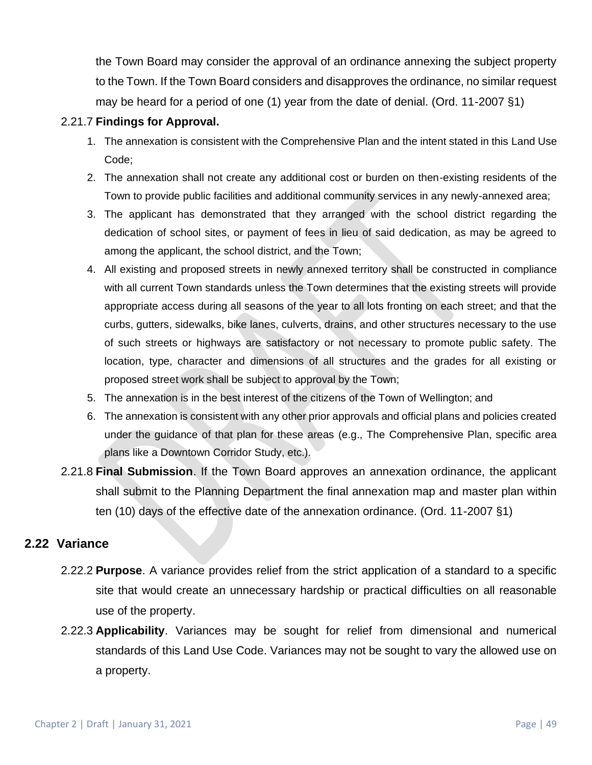the Town Board may consider the approval of an ordinance annexing the subject property to the Town. If the Town Board considers and disapproves the ordinance, no similar request may be heard for a period of one (1) year from the date of denial. (Ord. 11-2007 §1)

### 2.21.7 **Findings for Approval.**

- 1. The annexation is consistent with the Comprehensive Plan and the intent stated in this Land Use Code;
- 2. The annexation shall not create any additional cost or burden on then-existing residents of the Town to provide public facilities and additional community services in any newly-annexed area;
- 3. The applicant has demonstrated that they arranged with the school district regarding the dedication of school sites, or payment of fees in lieu of said dedication, as may be agreed to among the applicant, the school district, and the Town;
- 4. All existing and proposed streets in newly annexed territory shall be constructed in compliance with all current Town standards unless the Town determines that the existing streets will provide appropriate access during all seasons of the year to all lots fronting on each street; and that the curbs, gutters, sidewalks, bike lanes, culverts, drains, and other structures necessary to the use of such streets or highways are satisfactory or not necessary to promote public safety. The location, type, character and dimensions of all structures and the grades for all existing or proposed street work shall be subject to approval by the Town;
- 5. The annexation is in the best interest of the citizens of the Town of Wellington; and
- 6. The annexation is consistent with any other prior approvals and official plans and policies created under the guidance of that plan for these areas (e.g., The Comprehensive Plan, specific area plans like a Downtown Corridor Study, etc.).
- 2.21.8 **Final Submission**. If the Town Board approves an annexation ordinance, the applicant shall submit to the Planning Department the final annexation map and master plan within ten (10) days of the effective date of the annexation ordinance. (Ord. 11-2007 §1)

## **2.22 Variance**

- 2.22.2 **Purpose**. A variance provides relief from the strict application of a standard to a specific site that would create an unnecessary hardship or practical difficulties on all reasonable use of the property.
- 2.22.3 **Applicability**. Variances may be sought for relief from dimensional and numerical standards of this Land Use Code. Variances may not be sought to vary the allowed use on a property.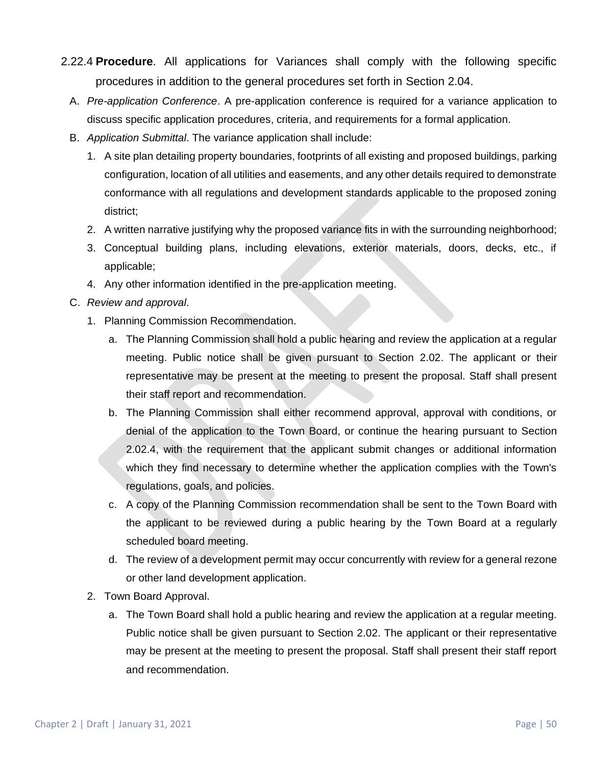- 2.22.4 **Procedure**. All applications for Variances shall comply with the following specific procedures in addition to the general procedures set forth in Section 2.04.
	- A. *Pre-application Conference*. A pre-application conference is required for a variance application to discuss specific application procedures, criteria, and requirements for a formal application.
	- B. *Application Submittal*. The variance application shall include:
		- 1. A site plan detailing property boundaries, footprints of all existing and proposed buildings, parking configuration, location of all utilities and easements, and any other details required to demonstrate conformance with all regulations and development standards applicable to the proposed zoning district;
		- 2. A written narrative justifying why the proposed variance fits in with the surrounding neighborhood;
		- 3. Conceptual building plans, including elevations, exterior materials, doors, decks, etc., if applicable;
		- 4. Any other information identified in the pre-application meeting.
	- C. *Review and approval*.
		- 1. Planning Commission Recommendation.
			- a. The Planning Commission shall hold a public hearing and review the application at a regular meeting. Public notice shall be given pursuant to Section 2.02. The applicant or their representative may be present at the meeting to present the proposal. Staff shall present their staff report and recommendation.
			- b. The Planning Commission shall either recommend approval, approval with conditions, or denial of the application to the Town Board, or continue the hearing pursuant to Section 2.02.4, with the requirement that the applicant submit changes or additional information which they find necessary to determine whether the application complies with the Town's regulations, goals, and policies.
			- c. A copy of the Planning Commission recommendation shall be sent to the Town Board with the applicant to be reviewed during a public hearing by the Town Board at a regularly scheduled board meeting.
			- d. The review of a development permit may occur concurrently with review for a general rezone or other land development application.
		- 2. Town Board Approval.
			- a. The Town Board shall hold a public hearing and review the application at a regular meeting. Public notice shall be given pursuant to Section 2.02. The applicant or their representative may be present at the meeting to present the proposal. Staff shall present their staff report and recommendation.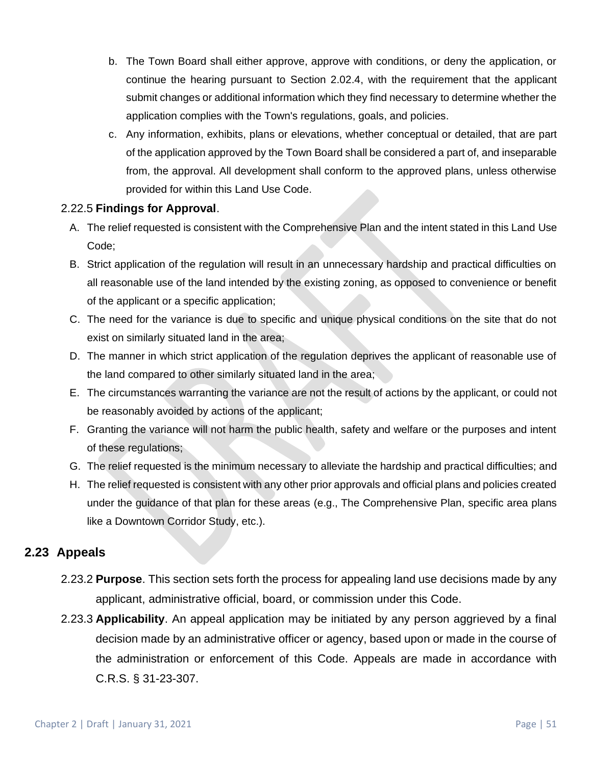- b. The Town Board shall either approve, approve with conditions, or deny the application, or continue the hearing pursuant to Section 2.02.4, with the requirement that the applicant submit changes or additional information which they find necessary to determine whether the application complies with the Town's regulations, goals, and policies.
- c. Any information, exhibits, plans or elevations, whether conceptual or detailed, that are part of the application approved by the Town Board shall be considered a part of, and inseparable from, the approval. All development shall conform to the approved plans, unless otherwise provided for within this Land Use Code.

#### 2.22.5 **Findings for Approval**.

- A. The relief requested is consistent with the Comprehensive Plan and the intent stated in this Land Use Code;
- B. Strict application of the regulation will result in an unnecessary hardship and practical difficulties on all reasonable use of the land intended by the existing zoning, as opposed to convenience or benefit of the applicant or a specific application;
- C. The need for the variance is due to specific and unique physical conditions on the site that do not exist on similarly situated land in the area;
- D. The manner in which strict application of the regulation deprives the applicant of reasonable use of the land compared to other similarly situated land in the area;
- E. The circumstances warranting the variance are not the result of actions by the applicant, or could not be reasonably avoided by actions of the applicant;
- F. Granting the variance will not harm the public health, safety and welfare or the purposes and intent of these regulations;
- G. The relief requested is the minimum necessary to alleviate the hardship and practical difficulties; and
- H. The relief requested is consistent with any other prior approvals and official plans and policies created under the guidance of that plan for these areas (e.g., The Comprehensive Plan, specific area plans like a Downtown Corridor Study, etc.).

## **2.23 Appeals**

- 2.23.2 **Purpose**. This section sets forth the process for appealing land use decisions made by any applicant, administrative official, board, or commission under this Code.
- 2.23.3 **Applicability**. An appeal application may be initiated by any person aggrieved by a final decision made by an administrative officer or agency, based upon or made in the course of the administration or enforcement of this Code. Appeals are made in accordance with C.R.S. § 31-23-307.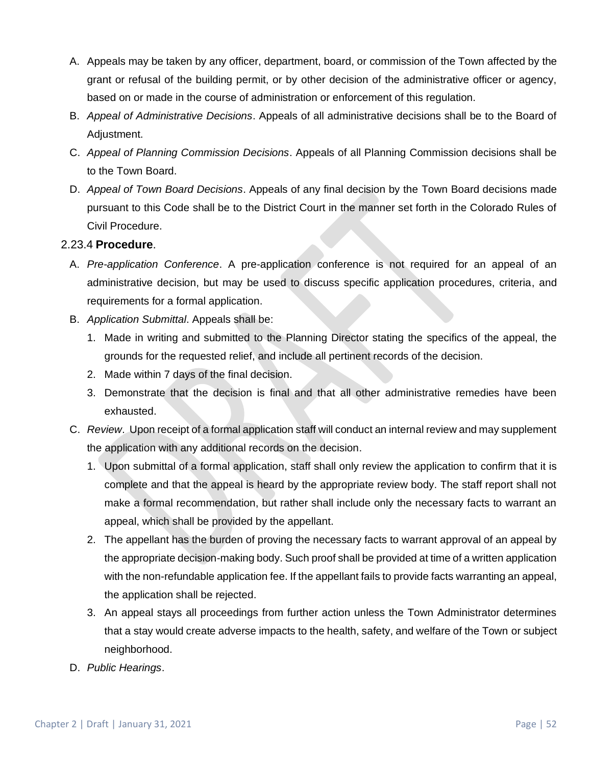- A. Appeals may be taken by any officer, department, board, or commission of the Town affected by the grant or refusal of the building permit, or by other decision of the administrative officer or agency, based on or made in the course of administration or enforcement of this regulation.
- B. *Appeal of Administrative Decisions*. Appeals of all administrative decisions shall be to the Board of Adjustment.
- C. *Appeal of Planning Commission Decisions*. Appeals of all Planning Commission decisions shall be to the Town Board.
- D. *Appeal of Town Board Decisions*. Appeals of any final decision by the Town Board decisions made pursuant to this Code shall be to the District Court in the manner set forth in the Colorado Rules of Civil Procedure.

## 2.23.4 **Procedure**.

- A. *Pre-application Conference*. A pre-application conference is not required for an appeal of an administrative decision, but may be used to discuss specific application procedures, criteria, and requirements for a formal application.
- B. *Application Submittal*. Appeals shall be:
	- 1. Made in writing and submitted to the Planning Director stating the specifics of the appeal, the grounds for the requested relief, and include all pertinent records of the decision.
	- 2. Made within 7 days of the final decision.
	- 3. Demonstrate that the decision is final and that all other administrative remedies have been exhausted.
- C. *Review*. Upon receipt of a formal application staff will conduct an internal review and may supplement the application with any additional records on the decision.
	- 1. Upon submittal of a formal application, staff shall only review the application to confirm that it is complete and that the appeal is heard by the appropriate review body. The staff report shall not make a formal recommendation, but rather shall include only the necessary facts to warrant an appeal, which shall be provided by the appellant.
	- 2. The appellant has the burden of proving the necessary facts to warrant approval of an appeal by the appropriate decision-making body. Such proof shall be provided at time of a written application with the non-refundable application fee. If the appellant fails to provide facts warranting an appeal, the application shall be rejected.
	- 3. An appeal stays all proceedings from further action unless the Town Administrator determines that a stay would create adverse impacts to the health, safety, and welfare of the Town or subject neighborhood.
- D. *Public Hearings*.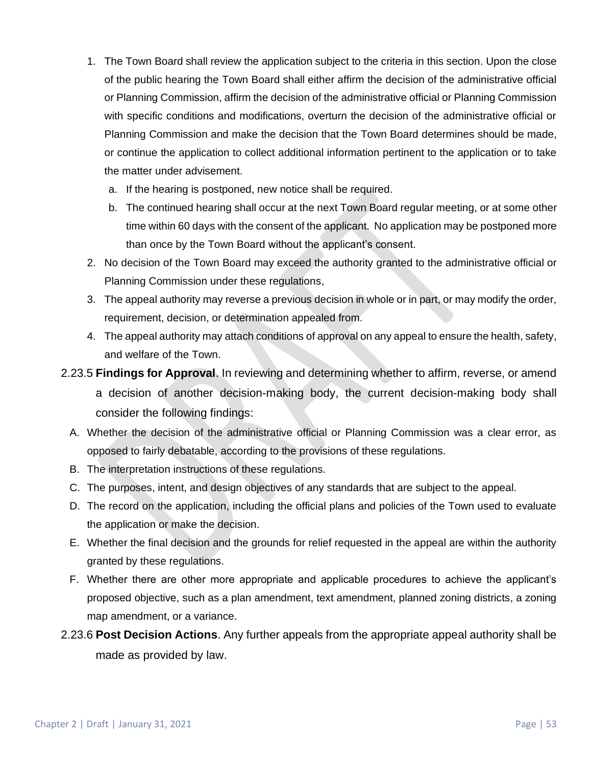- 1. The Town Board shall review the application subject to the criteria in this section. Upon the close of the public hearing the Town Board shall either affirm the decision of the administrative official or Planning Commission, affirm the decision of the administrative official or Planning Commission with specific conditions and modifications, overturn the decision of the administrative official or Planning Commission and make the decision that the Town Board determines should be made, or continue the application to collect additional information pertinent to the application or to take the matter under advisement.
	- a. If the hearing is postponed, new notice shall be required.
	- b. The continued hearing shall occur at the next Town Board regular meeting, or at some other time within 60 days with the consent of the applicant. No application may be postponed more than once by the Town Board without the applicant's consent.
- 2. No decision of the Town Board may exceed the authority granted to the administrative official or Planning Commission under these regulations,
- 3. The appeal authority may reverse a previous decision in whole or in part, or may modify the order, requirement, decision, or determination appealed from.
- 4. The appeal authority may attach conditions of approval on any appeal to ensure the health, safety, and welfare of the Town.
- 2.23.5 **Findings for Approval**. In reviewing and determining whether to affirm, reverse, or amend a decision of another decision-making body, the current decision-making body shall consider the following findings:
	- A. Whether the decision of the administrative official or Planning Commission was a clear error, as opposed to fairly debatable, according to the provisions of these regulations.
	- B. The interpretation instructions of these regulations.
	- C. The purposes, intent, and design objectives of any standards that are subject to the appeal.
	- D. The record on the application, including the official plans and policies of the Town used to evaluate the application or make the decision.
	- E. Whether the final decision and the grounds for relief requested in the appeal are within the authority granted by these regulations.
	- F. Whether there are other more appropriate and applicable procedures to achieve the applicant's proposed objective, such as a plan amendment, text amendment, planned zoning districts, a zoning map amendment, or a variance.
- 2.23.6 **Post Decision Actions**. Any further appeals from the appropriate appeal authority shall be made as provided by law.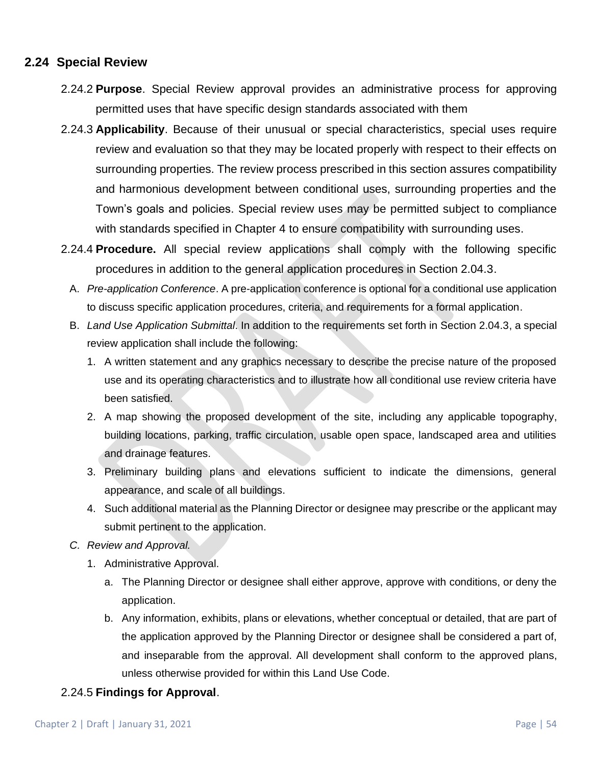## **2.24 Special Review**

- 2.24.2 **Purpose**. Special Review approval provides an administrative process for approving permitted uses that have specific design standards associated with them
- 2.24.3 **Applicability**. Because of their unusual or special characteristics, special uses require review and evaluation so that they may be located properly with respect to their effects on surrounding properties. The review process prescribed in this section assures compatibility and harmonious development between conditional uses, surrounding properties and the Town's goals and policies. Special review uses may be permitted subject to compliance with standards specified in Chapter 4 to ensure compatibility with surrounding uses.
- 2.24.4 **Procedure.** All special review applications shall comply with the following specific procedures in addition to the general application procedures in Section 2.04.3.
	- A. *Pre-application Conference*. A pre-application conference is optional for a conditional use application to discuss specific application procedures, criteria, and requirements for a formal application.
	- B. *Land Use Application Submittal*. In addition to the requirements set forth in Section 2.04.3, a special review application shall include the following:
		- 1. A written statement and any graphics necessary to describe the precise nature of the proposed use and its operating characteristics and to illustrate how all conditional use review criteria have been satisfied.
		- 2. A map showing the proposed development of the site, including any applicable topography, building locations, parking, traffic circulation, usable open space, landscaped area and utilities and drainage features.
		- 3. Preliminary building plans and elevations sufficient to indicate the dimensions, general appearance, and scale of all buildings.
		- 4. Such additional material as the Planning Director or designee may prescribe or the applicant may submit pertinent to the application.
	- *C. Review and Approval.* 
		- 1. Administrative Approval.
			- a. The Planning Director or designee shall either approve, approve with conditions, or deny the application.
			- b. Any information, exhibits, plans or elevations, whether conceptual or detailed, that are part of the application approved by the Planning Director or designee shall be considered a part of, and inseparable from the approval. All development shall conform to the approved plans, unless otherwise provided for within this Land Use Code.

## 2.24.5 **Findings for Approval**.